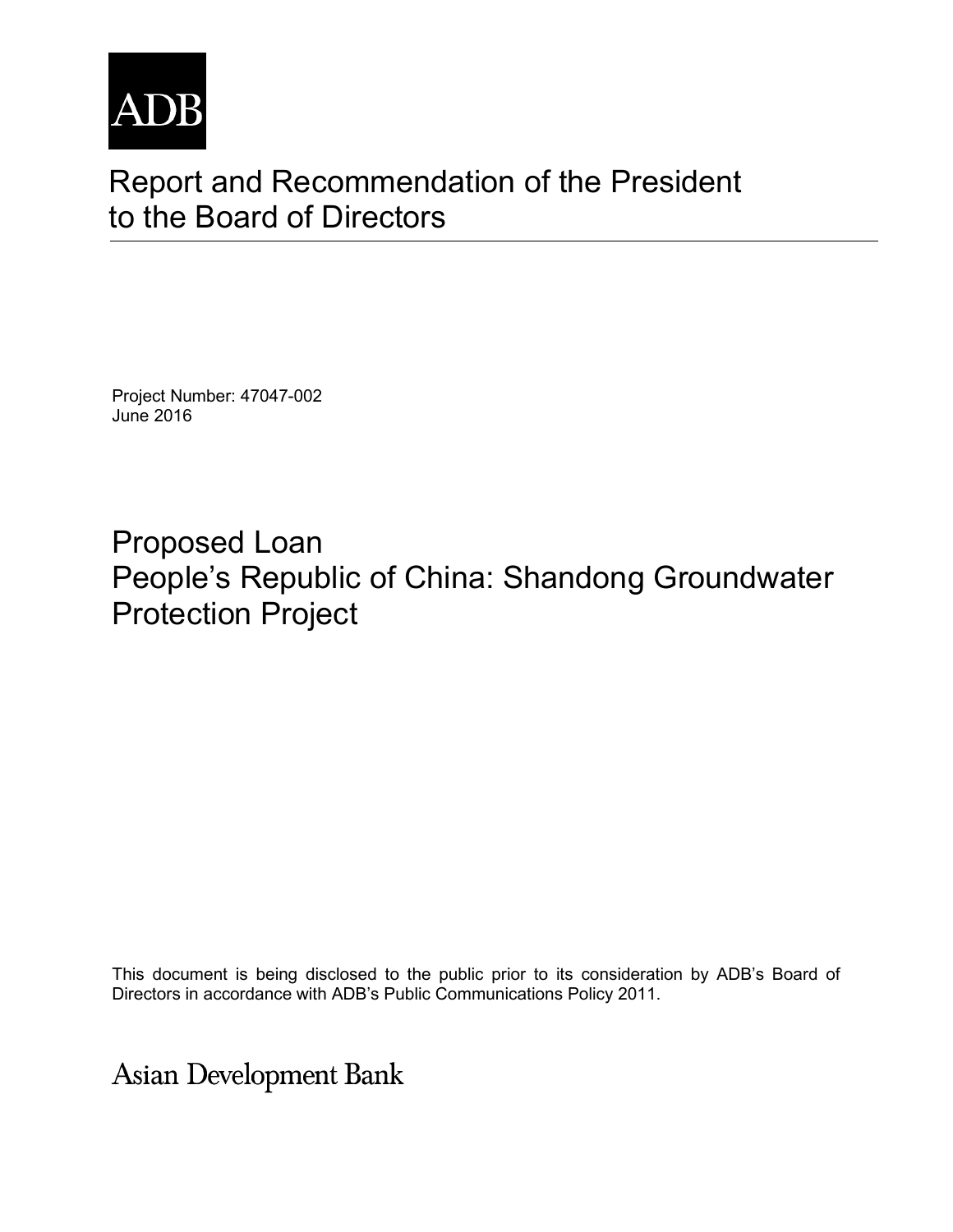

# Report and Recommendation of the President to the Board of Directors

Project Number: 47047-002 June 2016

Proposed Loan People's Republic of China: Shandong Groundwater Protection Project

This document is being disclosed to the public prior to its consideration by ADB's Board of Directors in accordance with ADB's Public Communications Policy 2011.

**Asian Development Bank**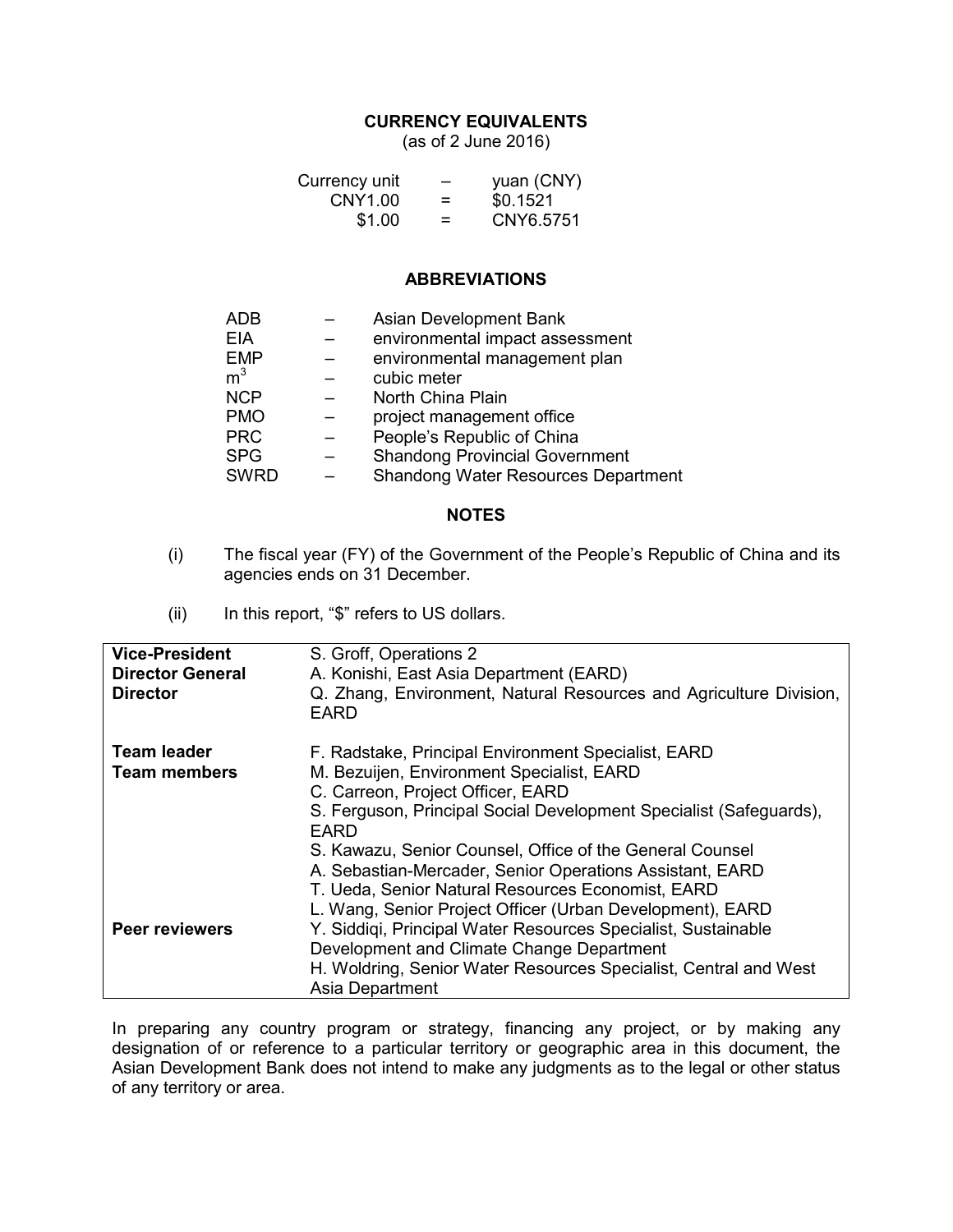#### **CURRENCY EQUIVALENTS**

(as of 2 June 2016)

| Currency unit | - | yuan (CNY) |
|---------------|---|------------|
| CNY1.00       | = | \$0.1521   |
| \$1.00        | = | CNY6.5751  |

#### **ABBREVIATIONS**

| Asian Development Bank                     |
|--------------------------------------------|
| environmental impact assessment            |
| environmental management plan              |
| cubic meter                                |
| North China Plain                          |
| project management office                  |
| People's Republic of China                 |
| <b>Shandong Provincial Government</b>      |
| <b>Shandong Water Resources Department</b> |
|                                            |

#### **NOTES**

- (i) The fiscal year (FY) of the Government of the People's Republic of China and its agencies ends on 31 December.
- (ii) In this report, "\$" refers to US dollars.

| <b>Vice-President</b><br><b>Director General</b><br><b>Director</b> | S. Groff, Operations 2<br>A. Konishi, East Asia Department (EARD)<br>Q. Zhang, Environment, Natural Resources and Agriculture Division,<br>EARD                                                                                                                                                                                                                                                                                                                      |
|---------------------------------------------------------------------|----------------------------------------------------------------------------------------------------------------------------------------------------------------------------------------------------------------------------------------------------------------------------------------------------------------------------------------------------------------------------------------------------------------------------------------------------------------------|
| <b>Team leader</b><br>Team members                                  | F. Radstake, Principal Environment Specialist, EARD<br>M. Bezuijen, Environment Specialist, EARD<br>C. Carreon, Project Officer, EARD<br>S. Ferguson, Principal Social Development Specialist (Safeguards),<br><b>EARD</b><br>S. Kawazu, Senior Counsel, Office of the General Counsel<br>A. Sebastian-Mercader, Senior Operations Assistant, EARD<br>T. Ueda, Senior Natural Resources Economist, EARD<br>L. Wang, Senior Project Officer (Urban Development), EARD |
| Peer reviewers                                                      | Y. Siddigi, Principal Water Resources Specialist, Sustainable<br>Development and Climate Change Department<br>H. Woldring, Senior Water Resources Specialist, Central and West<br>Asia Department                                                                                                                                                                                                                                                                    |

In preparing any country program or strategy, financing any project, or by making any designation of or reference to a particular territory or geographic area in this document, the Asian Development Bank does not intend to make any judgments as to the legal or other status of any territory or area.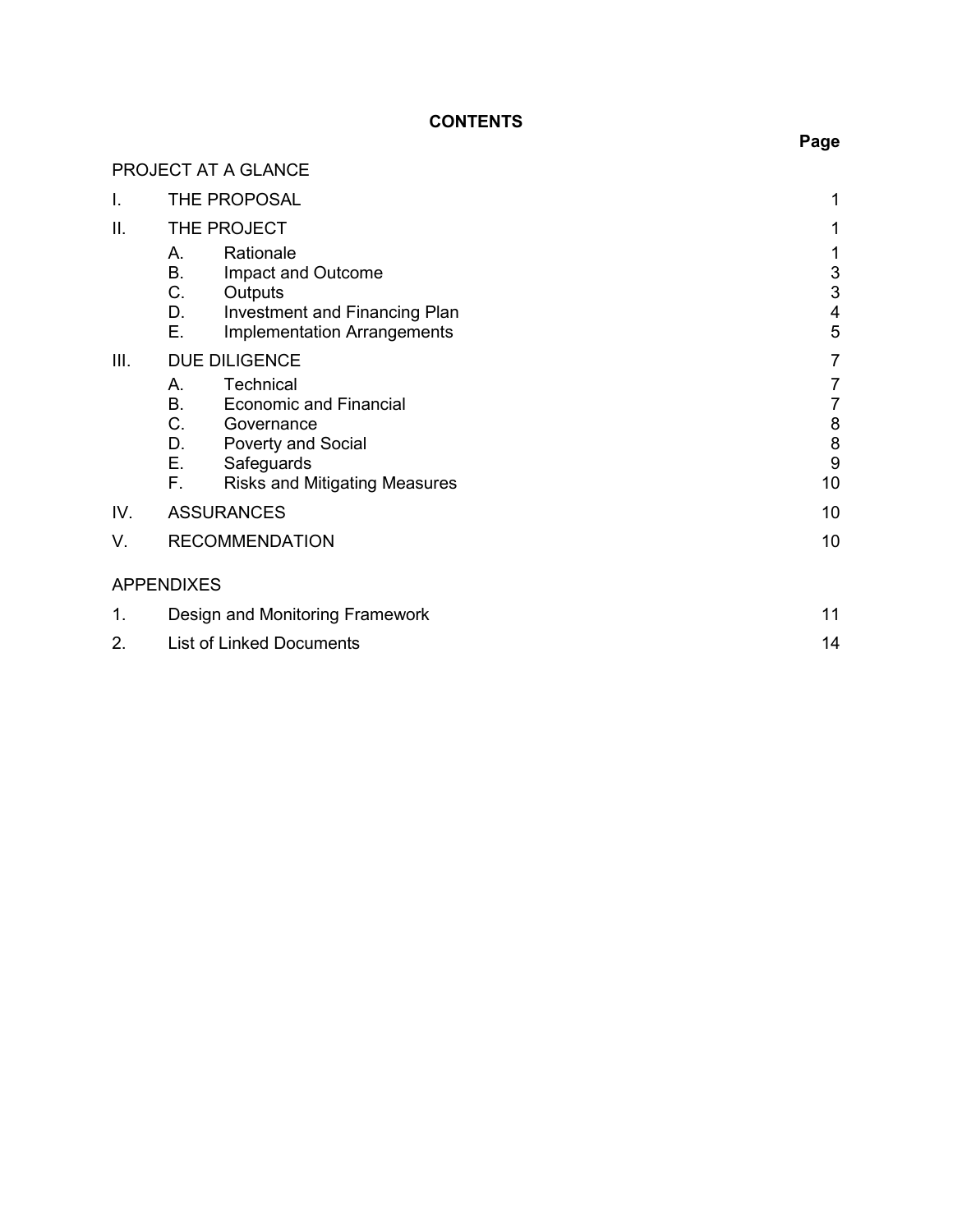# **CONTENTS**

|     | PROJECT AT A GLANCE                                                                                                                                                             |                                                                          |
|-----|---------------------------------------------------------------------------------------------------------------------------------------------------------------------------------|--------------------------------------------------------------------------|
| I.  | THE PROPOSAL                                                                                                                                                                    | 1                                                                        |
| Ш.  | THE PROJECT                                                                                                                                                                     | 1                                                                        |
|     | Rationale<br>А.<br>Β.<br>Impact and Outcome<br>C.<br>Outputs<br>D.<br><b>Investment and Financing Plan</b><br>Ε.<br><b>Implementation Arrangements</b>                          | $\ensuremath{\mathsf{3}}$<br>$\mathsf 3$<br>$\overline{\mathbf{4}}$<br>5 |
| Ш.  | <b>DUE DILIGENCE</b>                                                                                                                                                            | $\overline{7}$                                                           |
|     | Technical<br>А.<br><b>B.</b><br><b>Economic and Financial</b><br>C.<br>Governance<br>Poverty and Social<br>D.<br>Ε.<br>Safeguards<br>F.<br><b>Risks and Mitigating Measures</b> | 7<br>7<br>8<br>8<br>9<br>10                                              |
| IV. | <b>ASSURANCES</b>                                                                                                                                                               | 10                                                                       |
| V.  | <b>RECOMMENDATION</b>                                                                                                                                                           | 10                                                                       |
|     | <b>APPENDIXES</b>                                                                                                                                                               |                                                                          |
| 1.  | Design and Monitoring Framework                                                                                                                                                 | 11                                                                       |
| 2.  | <b>List of Linked Documents</b>                                                                                                                                                 | 14                                                                       |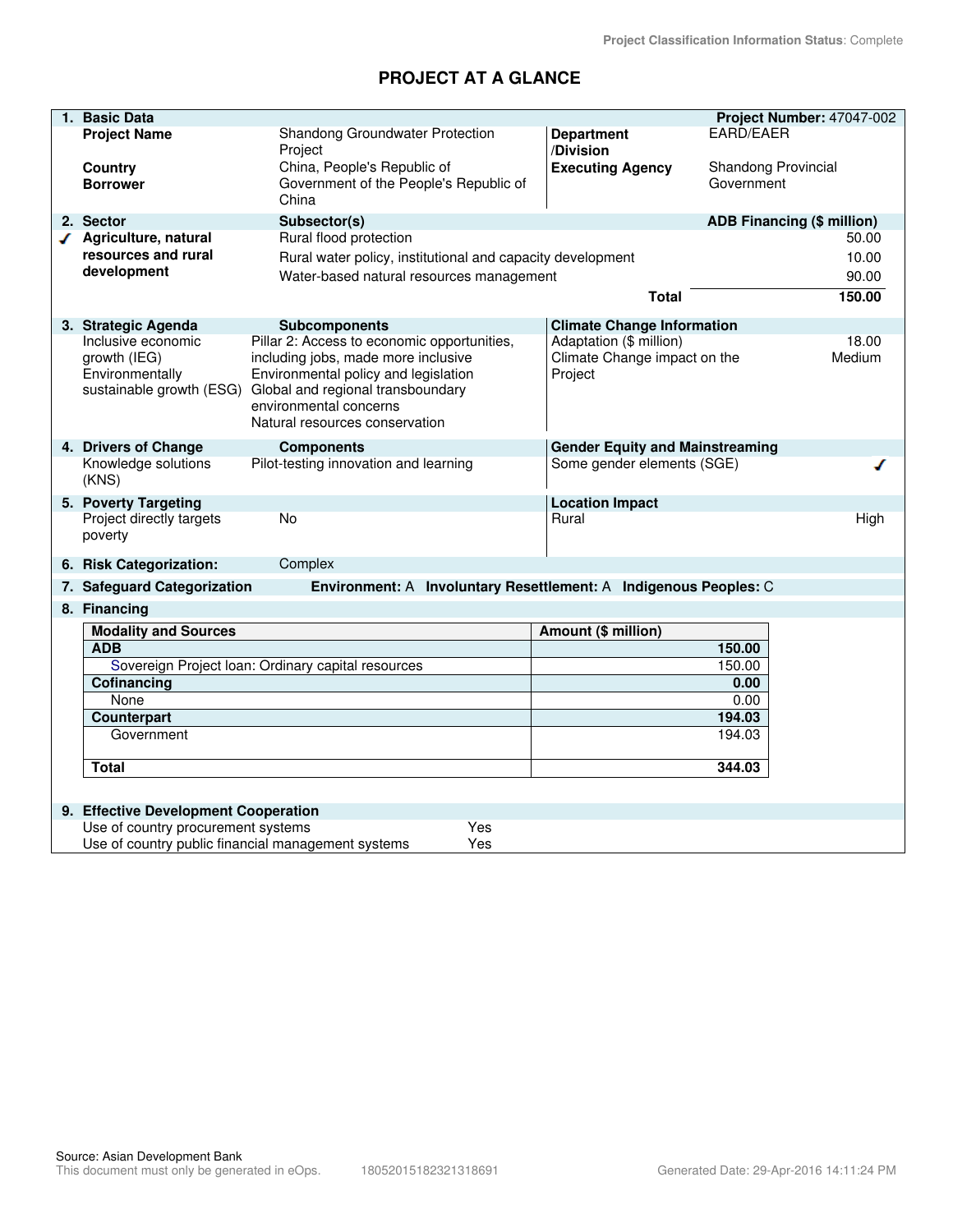# **PROJECT AT A GLANCE**

|   | 1. Basic Data                               |                                                                                      |                                                                      | Project Number: 47047-002         |
|---|---------------------------------------------|--------------------------------------------------------------------------------------|----------------------------------------------------------------------|-----------------------------------|
|   | <b>Project Name</b>                         | Shandong Groundwater Protection                                                      | <b>Department</b>                                                    | <b>EARD/EAER</b>                  |
|   |                                             | Project                                                                              | /Division                                                            |                                   |
|   | Country                                     | China, People's Republic of                                                          | <b>Executing Agency</b>                                              | Shandong Provincial               |
|   | <b>Borrower</b>                             | Government of the People's Republic of                                               |                                                                      | Government                        |
|   |                                             | China                                                                                |                                                                      |                                   |
|   | 2. Sector                                   | Subsector(s)                                                                         |                                                                      | <b>ADB Financing (\$ million)</b> |
| ◢ | Agriculture, natural                        | Rural flood protection                                                               |                                                                      | 50.00                             |
|   | resources and rural                         | Rural water policy, institutional and capacity development                           |                                                                      | 10.00                             |
|   | development                                 | Water-based natural resources management                                             |                                                                      | 90.00                             |
|   |                                             |                                                                                      | <b>Total</b>                                                         | 150.00                            |
|   | 3. Strategic Agenda                         | <b>Subcomponents</b>                                                                 | <b>Climate Change Information</b>                                    |                                   |
|   | Inclusive economic                          | Pillar 2: Access to economic opportunities,                                          | Adaptation (\$ million)                                              | 18.00                             |
|   | growth (IEG)                                | including jobs, made more inclusive                                                  | Climate Change impact on the                                         | Medium                            |
|   | Environmentally                             | Environmental policy and legislation                                                 | Project                                                              |                                   |
|   |                                             | sustainable growth (ESG) Global and regional transboundary<br>environmental concerns |                                                                      |                                   |
|   |                                             | Natural resources conservation                                                       |                                                                      |                                   |
|   |                                             |                                                                                      |                                                                      |                                   |
|   | 4. Drivers of Change<br>Knowledge solutions | <b>Components</b><br>Pilot-testing innovation and learning                           | <b>Gender Equity and Mainstreaming</b><br>Some gender elements (SGE) |                                   |
|   | (KNS)                                       |                                                                                      |                                                                      |                                   |
|   | 5. Poverty Targeting                        |                                                                                      | <b>Location Impact</b>                                               |                                   |
|   | Project directly targets                    | No                                                                                   | Rural                                                                | High                              |
|   | poverty                                     |                                                                                      |                                                                      |                                   |
|   | 6. Risk Categorization:                     | Complex                                                                              |                                                                      |                                   |
|   | 7. Safeguard Categorization                 | Environment: A Involuntary Resettlement: A Indigenous Peoples: C                     |                                                                      |                                   |
|   | 8. Financing                                |                                                                                      |                                                                      |                                   |
|   | <b>Modality and Sources</b>                 |                                                                                      | Amount (\$ million)                                                  |                                   |
|   | <b>ADB</b>                                  |                                                                                      |                                                                      | 150.00                            |
|   |                                             | Sovereign Project Ioan: Ordinary capital resources                                   | 150.00                                                               |                                   |
|   | Cofinancing                                 |                                                                                      | 0.00<br>0.00                                                         |                                   |
|   | None<br>Counterpart                         |                                                                                      | 194.03                                                               |                                   |
|   | Government                                  |                                                                                      |                                                                      | 194.03                            |
|   |                                             |                                                                                      |                                                                      |                                   |
|   | <b>Total</b>                                |                                                                                      |                                                                      | 344.03                            |
|   |                                             |                                                                                      |                                                                      |                                   |
|   | 9. Effective Development Cooperation        |                                                                                      |                                                                      |                                   |
|   | Use of country procurement systems          | Yes                                                                                  |                                                                      |                                   |
|   |                                             | Use of country public financial management systems<br>Yes                            |                                                                      |                                   |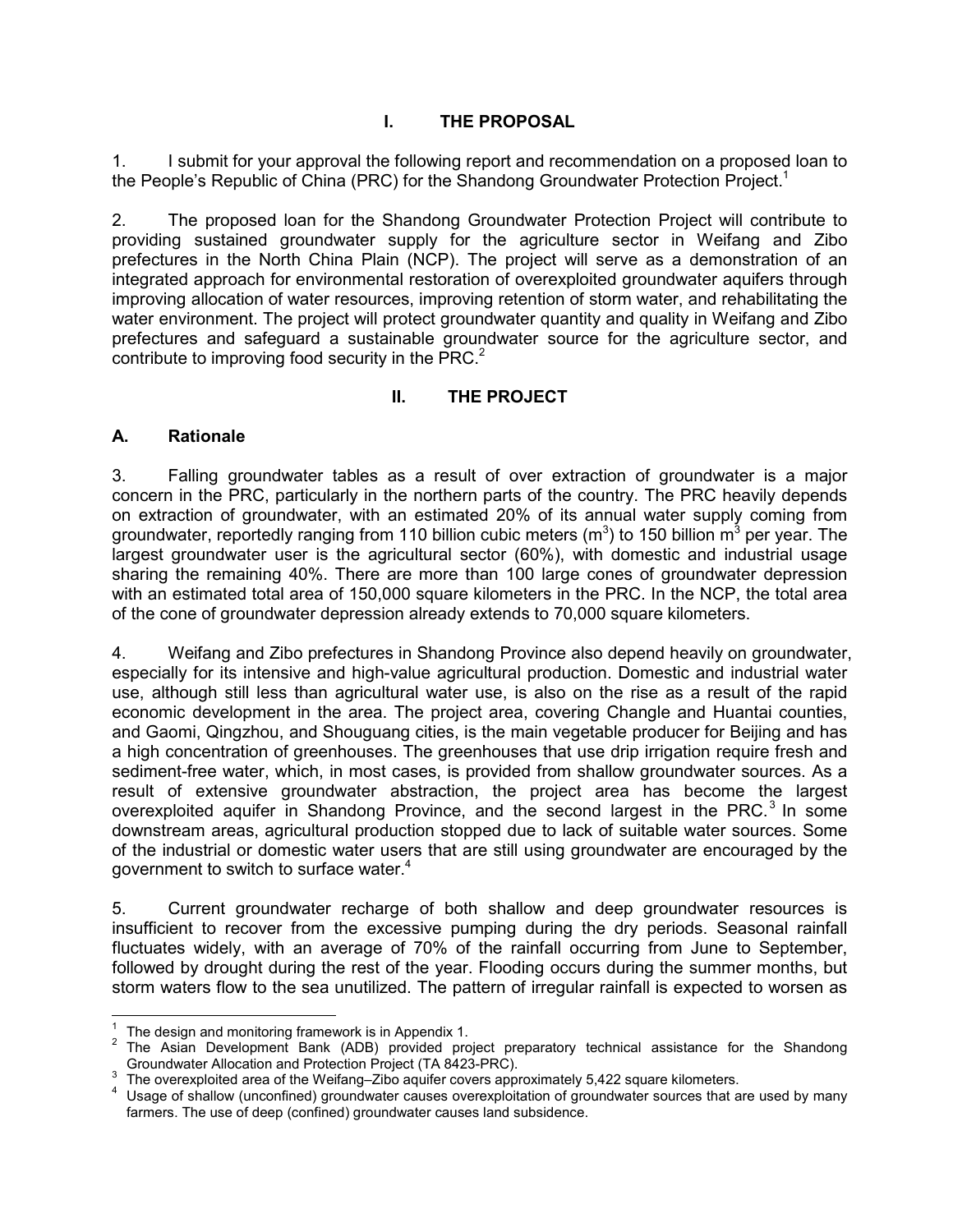# **I. THE PROPOSAL**

1. I submit for your approval the following report and recommendation on a proposed loan to the People's Republic of China (PRC) for the Shandong Groundwater Protection Project.<sup>1</sup>

2. The proposed loan for the Shandong Groundwater Protection Project will contribute to providing sustained groundwater supply for the agriculture sector in Weifang and Zibo prefectures in the North China Plain (NCP). The project will serve as a demonstration of an integrated approach for environmental restoration of overexploited groundwater aquifers through improving allocation of water resources, improving retention of storm water, and rehabilitating the water environment. The project will protect groundwater quantity and quality in Weifang and Zibo prefectures and safeguard a sustainable groundwater source for the agriculture sector, and contribute to improving food security in the PRC. $2$ 

# **II. THE PROJECT**

#### **A. Rationale**

3. Falling groundwater tables as a result of over extraction of groundwater is a major concern in the PRC, particularly in the northern parts of the country. The PRC heavily depends on extraction of groundwater, with an estimated 20% of its annual water supply coming from groundwater, reportedly ranging from 110 billion cubic meters (m<sup>3</sup>) to 150 billion m<sup>3</sup> per year. The largest groundwater user is the agricultural sector (60%), with domestic and industrial usage sharing the remaining 40%. There are more than 100 large cones of groundwater depression with an estimated total area of 150,000 square kilometers in the PRC. In the NCP, the total area of the cone of groundwater depression already extends to 70,000 square kilometers.

4. Weifang and Zibo prefectures in Shandong Province also depend heavily on groundwater, especially for its intensive and high-value agricultural production. Domestic and industrial water use, although still less than agricultural water use, is also on the rise as a result of the rapid economic development in the area. The project area, covering Changle and Huantai counties, and Gaomi, Qingzhou, and Shouguang cities, is the main vegetable producer for Beijing and has a high concentration of greenhouses. The greenhouses that use drip irrigation require fresh and sediment-free water, which, in most cases, is provided from shallow groundwater sources. As a result of extensive groundwater abstraction, the project area has become the largest overexploited aquifer in Shandong Province, and the second largest in the PRC.<sup>3</sup> In some downstream areas, agricultural production stopped due to lack of suitable water sources. Some of the industrial or domestic water users that are still using groundwater are encouraged by the government to switch to surface water.<sup>4</sup>

5. Current groundwater recharge of both shallow and deep groundwater resources is insufficient to recover from the excessive pumping during the dry periods. Seasonal rainfall fluctuates widely, with an average of 70% of the rainfall occurring from June to September, followed by drought during the rest of the year. Flooding occurs during the summer months, but storm waters flow to the sea unutilized. The pattern of irregular rainfall is expected to worsen as

**EXECUTE:**<br><sup>1</sup> The design and monitoring framework is in Appendix 1.

<sup>&</sup>lt;sup>2</sup> The Asian Development Bank (ADB) provided project preparatory technical assistance for the Shandong Groundwater Allocation and Protection Project (TA 8423-PRC).

 $3\overline{)}$  The overexploited area of the Weifang–Zibo aquifer covers approximately 5,422 square kilometers.

<sup>4</sup> Usage of shallow (unconfined) groundwater causes overexploitation of groundwater sources that are used by many farmers. The use of deep (confined) groundwater causes land subsidence.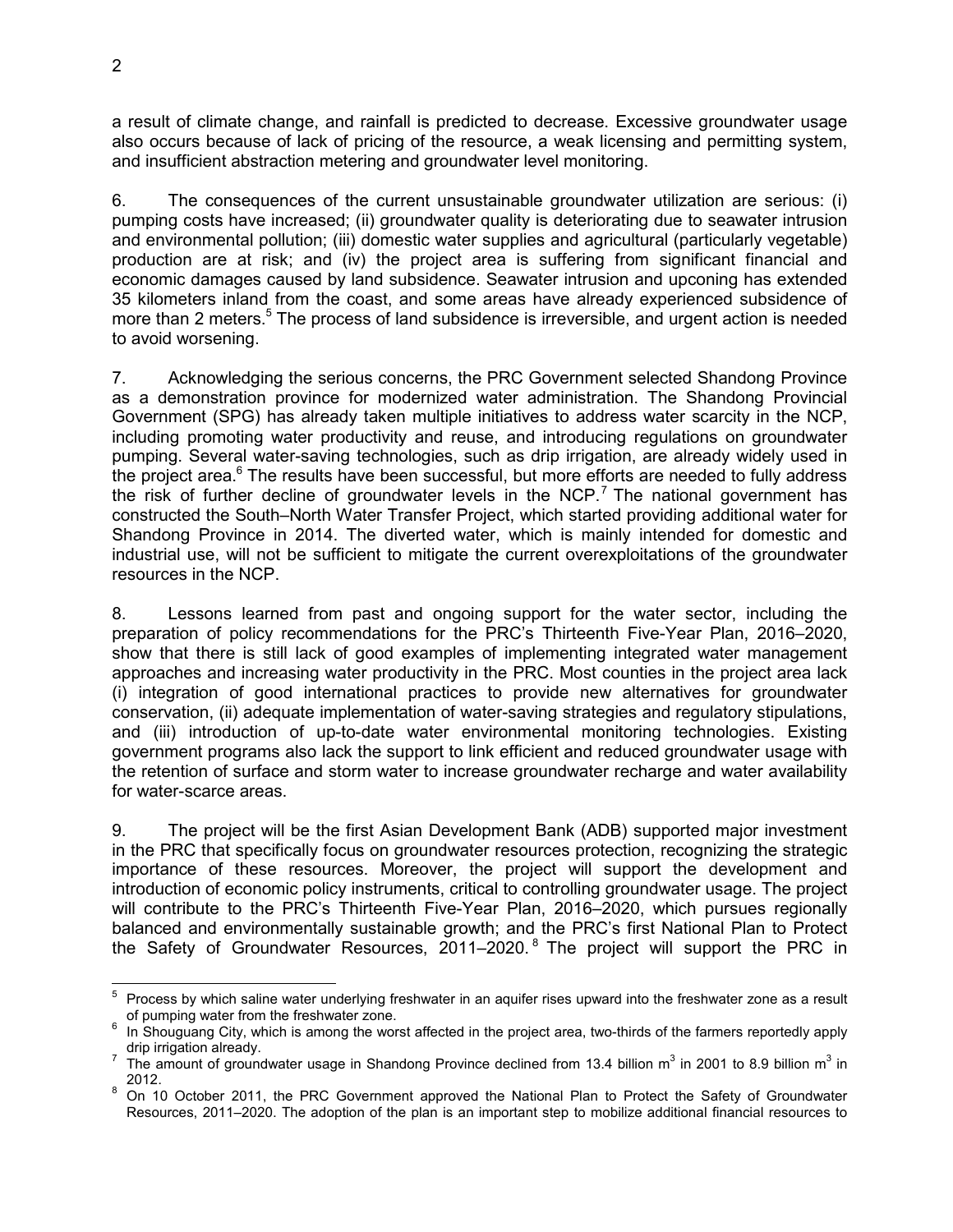a result of climate change, and rainfall is predicted to decrease. Excessive groundwater usage also occurs because of lack of pricing of the resource, a weak licensing and permitting system, and insufficient abstraction metering and groundwater level monitoring.

6. The consequences of the current unsustainable groundwater utilization are serious: (i) pumping costs have increased; (ii) groundwater quality is deteriorating due to seawater intrusion and environmental pollution; (iii) domestic water supplies and agricultural (particularly vegetable) production are at risk; and (iv) the project area is suffering from significant financial and economic damages caused by land subsidence. Seawater intrusion and upconing has extended 35 kilometers inland from the coast, and some areas have already experienced subsidence of more than 2 meters.<sup>5</sup> The process of land subsidence is irreversible, and urgent action is needed to avoid worsening.

7. Acknowledging the serious concerns, the PRC Government selected Shandong Province as a demonstration province for modernized water administration. The Shandong Provincial Government (SPG) has already taken multiple initiatives to address water scarcity in the NCP, including promoting water productivity and reuse, and introducing regulations on groundwater pumping. Several water-saving technologies, such as drip irrigation, are already widely used in the project area.<sup>6</sup> The results have been successful, but more efforts are needed to fully address the risk of further decline of groundwater levels in the NCP.<sup>7</sup> The national government has constructed the South–North Water Transfer Project, which started providing additional water for Shandong Province in 2014. The diverted water, which is mainly intended for domestic and industrial use, will not be sufficient to mitigate the current overexploitations of the groundwater resources in the NCP.

8. Lessons learned from past and ongoing support for the water sector, including the preparation of policy recommendations for the PRC's Thirteenth Five-Year Plan, 2016–2020, show that there is still lack of good examples of implementing integrated water management approaches and increasing water productivity in the PRC. Most counties in the project area lack (i) integration of good international practices to provide new alternatives for groundwater conservation, (ii) adequate implementation of water-saving strategies and regulatory stipulations, and (iii) introduction of up-to-date water environmental monitoring technologies. Existing government programs also lack the support to link efficient and reduced groundwater usage with the retention of surface and storm water to increase groundwater recharge and water availability for water-scarce areas.

9. The project will be the first Asian Development Bank (ADB) supported major investment in the PRC that specifically focus on groundwater resources protection, recognizing the strategic importance of these resources. Moreover, the project will support the development and introduction of economic policy instruments, critical to controlling groundwater usage. The project will contribute to the PRC's Thirteenth Five-Year Plan, 2016–2020, which pursues regionally balanced and environmentally sustainable growth; and the PRC's first National Plan to Protect the Safety of Groundwater Resources, 2011–2020.<sup>8</sup> The project will support the PRC in

 5 Process by which saline water underlying freshwater in an aquifer rises upward into the freshwater zone as a result of pumping water from the freshwater zone.

<sup>6</sup> In Shouguang City, which is among the worst affected in the project area, two-thirds of the farmers reportedly apply drip irrigation already.

<sup>&</sup>lt;sup>7</sup> The amount of groundwater usage in Shandong Province declined from 13.4 billion m<sup>3</sup> in 2001 to 8.9 billion m<sup>3</sup> in 2012.

<sup>8</sup> On 10 October 2011, the PRC Government approved the National Plan to Protect the Safety of Groundwater Resources, 2011–2020. The adoption of the plan is an important step to mobilize additional financial resources to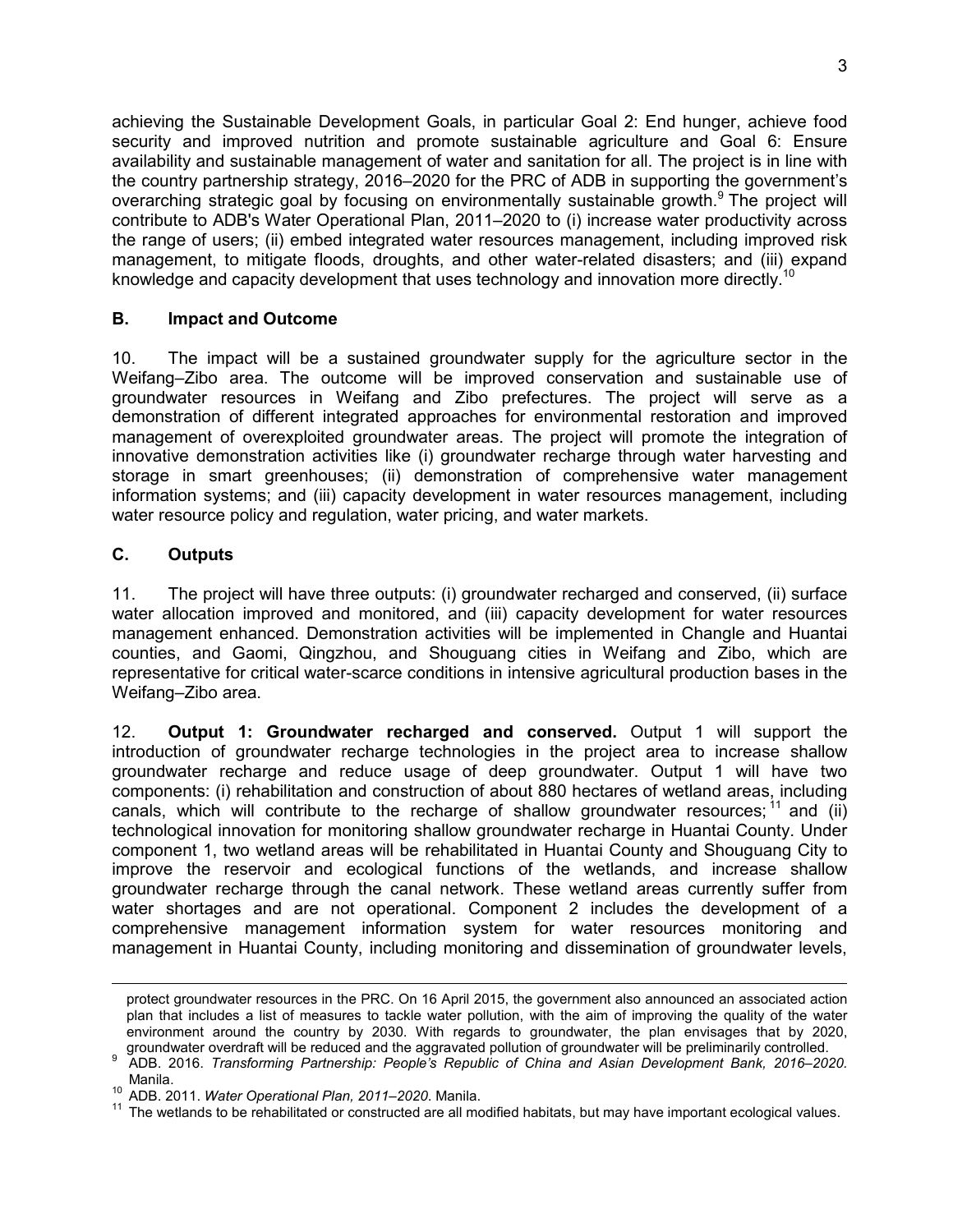achieving the Sustainable Development Goals, in particular Goal 2: End hunger, achieve food security and improved nutrition and promote sustainable agriculture and Goal 6: Ensure availability and sustainable management of water and sanitation for all. The project is in line with the country partnership strategy, 2016–2020 for the PRC of ADB in supporting the government's overarching strategic goal by focusing on environmentally sustainable growth.<sup>9</sup> The project will contribute to ADB's Water Operational Plan, 2011–2020 to (i) increase water productivity across the range of users; (ii) embed integrated water resources management, including improved risk management, to mitigate floods, droughts, and other water-related disasters; and (iii) expand knowledge and capacity development that uses technology and innovation more directly.<sup>10</sup>

#### **B. Impact and Outcome**

10. The impact will be a sustained groundwater supply for the agriculture sector in the Weifang–Zibo area. The outcome will be improved conservation and sustainable use of groundwater resources in Weifang and Zibo prefectures. The project will serve as a demonstration of different integrated approaches for environmental restoration and improved management of overexploited groundwater areas. The project will promote the integration of innovative demonstration activities like (i) groundwater recharge through water harvesting and storage in smart greenhouses; (ii) demonstration of comprehensive water management information systems; and (iii) capacity development in water resources management, including water resource policy and regulation, water pricing, and water markets.

#### **C. Outputs**

 $\overline{a}$ 

11. The project will have three outputs: (i) groundwater recharged and conserved, (ii) surface water allocation improved and monitored, and (iii) capacity development for water resources management enhanced. Demonstration activities will be implemented in Changle and Huantai counties, and Gaomi, Qingzhou, and Shouguang cities in Weifang and Zibo, which are representative for critical water-scarce conditions in intensive agricultural production bases in the Weifang–Zibo area.

12. **Output 1: Groundwater recharged and conserved.** Output 1 will support the introduction of groundwater recharge technologies in the project area to increase shallow groundwater recharge and reduce usage of deep groundwater. Output 1 will have two components: (i) rehabilitation and construction of about 880 hectares of wetland areas, including canals, which will contribute to the recharge of shallow groundwater resources;  $\frac{11}{11}$  and (ii) technological innovation for monitoring shallow groundwater recharge in Huantai County. Under component 1, two wetland areas will be rehabilitated in Huantai County and Shouguang City to improve the reservoir and ecological functions of the wetlands, and increase shallow groundwater recharge through the canal network. These wetland areas currently suffer from water shortages and are not operational. Component 2 includes the development of a comprehensive management information system for water resources monitoring and management in Huantai County, including monitoring and dissemination of groundwater levels,

protect groundwater resources in the PRC. On 16 April 2015, the government also announced an associated action plan that includes a list of measures to tackle water pollution, with the aim of improving the quality of the water environment around the country by 2030. With regards to groundwater, the plan envisages that by 2020, groundwater overdraft will be reduced and the aggravated pollution of groundwater will be preliminarily controlled.

<sup>9</sup> ADB. 2016. *Transforming Partnership: People's Republic of China and Asian Development Bank, 2016–2020.*  Manila.

<sup>10</sup> ADB. 2011. *Water Operational Plan, 2011–2020*. Manila.

 $11$  The wetlands to be rehabilitated or constructed are all modified habitats, but may have important ecological values.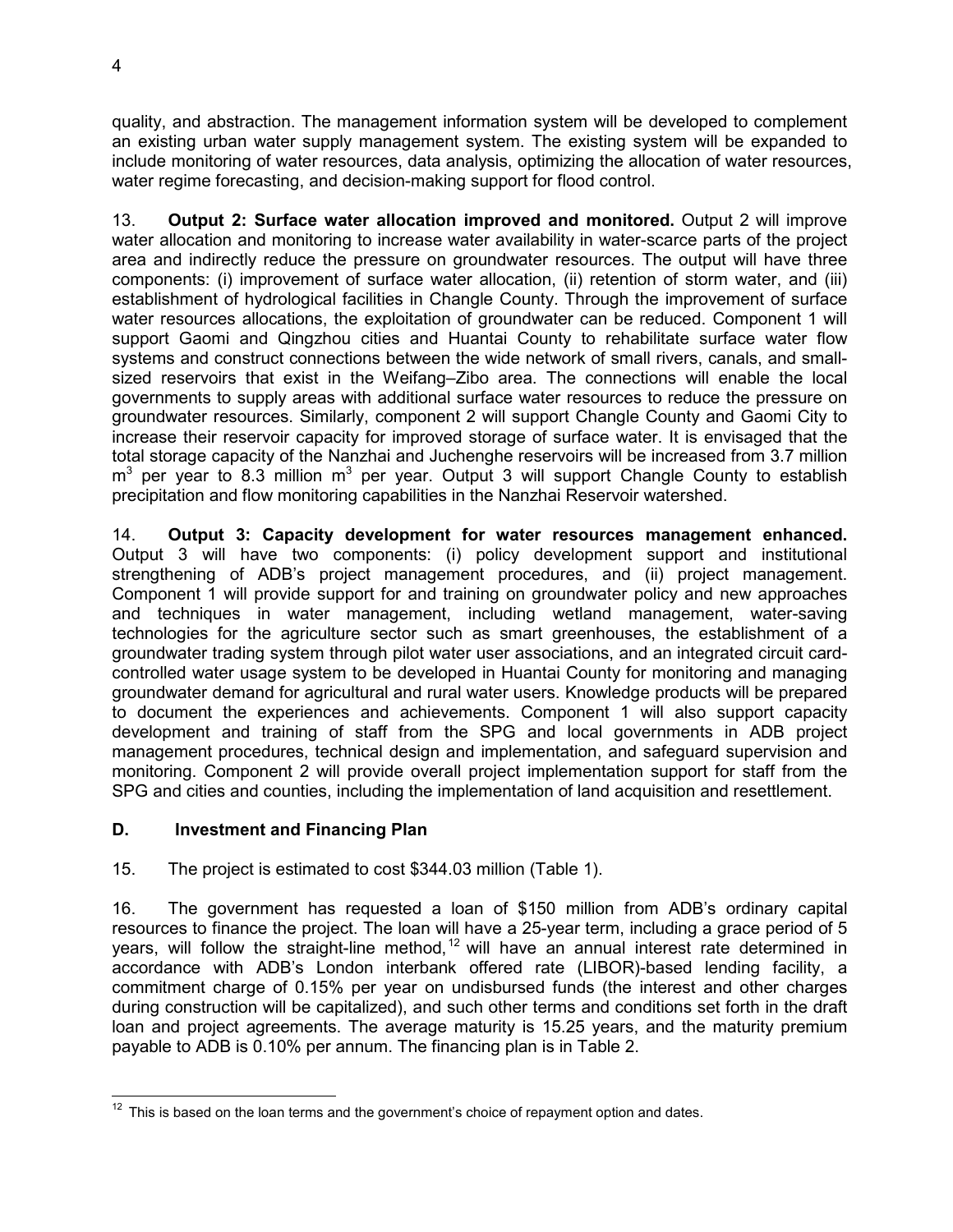quality, and abstraction. The management information system will be developed to complement an existing urban water supply management system. The existing system will be expanded to include monitoring of water resources, data analysis, optimizing the allocation of water resources, water regime forecasting, and decision-making support for flood control.

13. **Output 2: Surface water allocation improved and monitored.** Output 2 will improve water allocation and monitoring to increase water availability in water-scarce parts of the project area and indirectly reduce the pressure on groundwater resources. The output will have three components: (i) improvement of surface water allocation, (ii) retention of storm water, and (iii) establishment of hydrological facilities in Changle County. Through the improvement of surface water resources allocations, the exploitation of groundwater can be reduced. Component 1 will support Gaomi and Qingzhou cities and Huantai County to rehabilitate surface water flow systems and construct connections between the wide network of small rivers, canals, and smallsized reservoirs that exist in the Weifang–Zibo area. The connections will enable the local governments to supply areas with additional surface water resources to reduce the pressure on groundwater resources. Similarly, component 2 will support Changle County and Gaomi City to increase their reservoir capacity for improved storage of surface water. It is envisaged that the total storage capacity of the Nanzhai and Juchenghe reservoirs will be increased from 3.7 million  $m<sup>3</sup>$  per year to 8.3 million  $m<sup>3</sup>$  per year. Output 3 will support Changle County to establish precipitation and flow monitoring capabilities in the Nanzhai Reservoir watershed.

14. **Output 3: Capacity development for water resources management enhanced.** Output 3 will have two components: (i) policy development support and institutional strengthening of ADB's project management procedures, and (ii) project management. Component 1 will provide support for and training on groundwater policy and new approaches and techniques in water management, including wetland management, water-saving technologies for the agriculture sector such as smart greenhouses, the establishment of a groundwater trading system through pilot water user associations, and an integrated circuit cardcontrolled water usage system to be developed in Huantai County for monitoring and managing groundwater demand for agricultural and rural water users. Knowledge products will be prepared to document the experiences and achievements. Component 1 will also support capacity development and training of staff from the SPG and local governments in ADB project management procedures, technical design and implementation, and safeguard supervision and monitoring. Component 2 will provide overall project implementation support for staff from the SPG and cities and counties, including the implementation of land acquisition and resettlement.

# **D. Investment and Financing Plan**

15. The project is estimated to cost \$344.03 million (Table 1).

16. The government has requested a loan of \$150 million from ADB's ordinary capital resources to finance the project. The loan will have a 25-year term, including a grace period of 5 years, will follow the straight-line method,  $12$  will have an annual interest rate determined in accordance with ADB's London interbank offered rate (LIBOR)-based lending facility, a commitment charge of 0.15% per year on undisbursed funds (the interest and other charges during construction will be capitalized), and such other terms and conditions set forth in the draft loan and project agreements. The average maturity is 15.25 years, and the maturity premium payable to ADB is 0.10% per annum. The financing plan is in Table 2.

<sup>-</sup> $12$  This is based on the loan terms and the government's choice of repayment option and dates.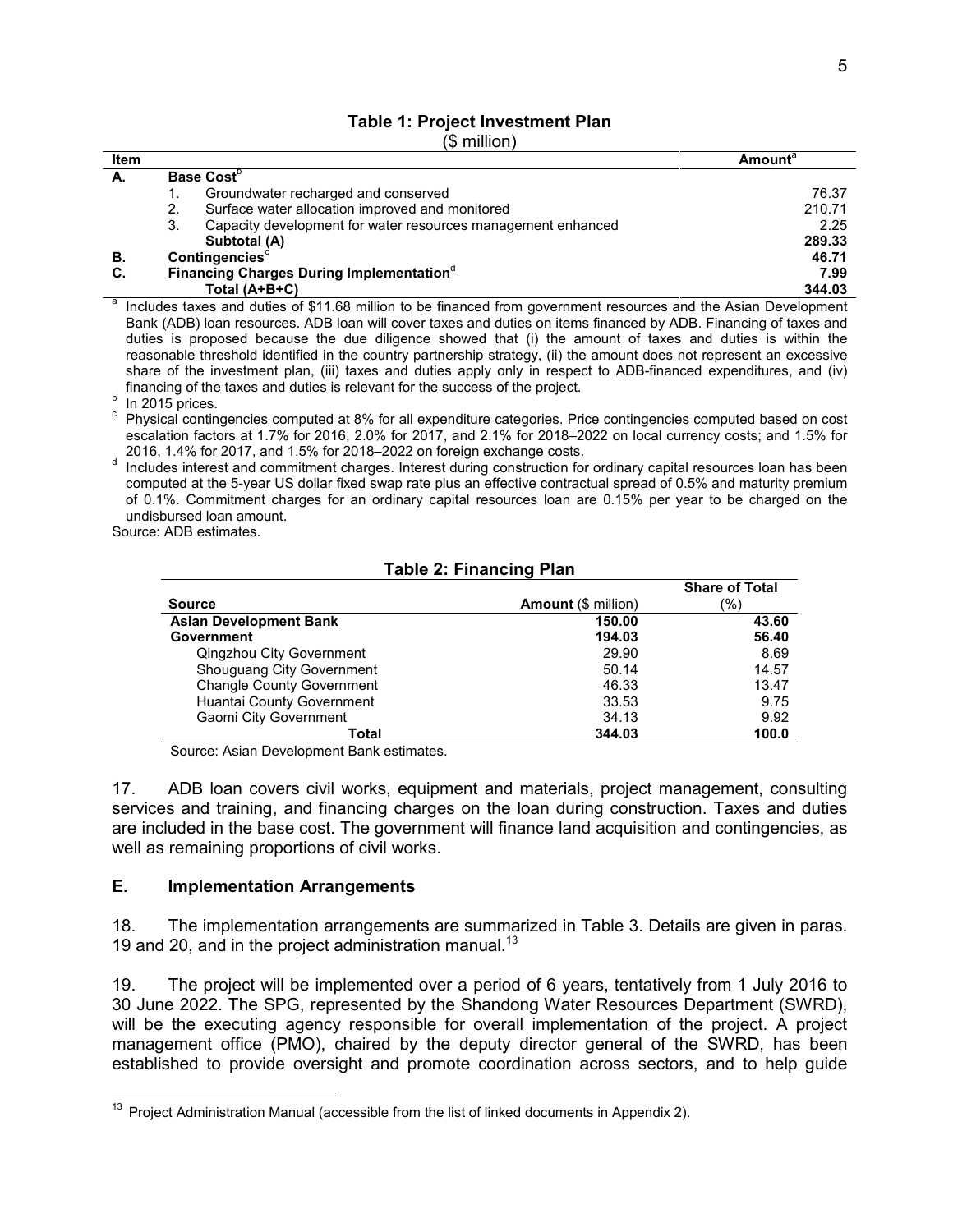# **Table 1: Project Investment Plan**

(\$ million)

| Item |    |                                                                                                                    | Amount® |
|------|----|--------------------------------------------------------------------------------------------------------------------|---------|
| А.   |    | Base Cost <sup>D</sup>                                                                                             |         |
|      |    | Groundwater recharged and conserved                                                                                | 76.37   |
|      | 2. | Surface water allocation improved and monitored                                                                    | 210.71  |
|      | 3. | Capacity development for water resources management enhanced                                                       | 2.25    |
|      |    | Subtotal (A)                                                                                                       | 289.33  |
| В.   |    | <b>Contingencies</b>                                                                                               | 46.71   |
| C.   |    | Financing Charges During Implementation <sup>®</sup>                                                               | 7.99    |
|      |    | Total $(A+B+C)$                                                                                                    | 344.03  |
|      |    | Included to see and duties of \$44.69 million to be financed from asycrometric resources and the Asian Development |         |

 Includes taxes and duties of \$11.68 million to be financed from government resources and the Asian Development Bank (ADB) loan resources. ADB loan will cover taxes and duties on items financed by ADB. Financing of taxes and duties is proposed because the due diligence showed that (i) the amount of taxes and duties is within the reasonable threshold identified in the country partnership strategy, (ii) the amount does not represent an excessive share of the investment plan, (iii) taxes and duties apply only in respect to ADB-financed expenditures, and (iv) financing of the taxes and duties is relevant for the success of the project.

 $b$  In 2015 prices.

<sup>c</sup> Physical contingencies computed at 8% for all expenditure categories. Price contingencies computed based on cost escalation factors at 1.7% for 2016, 2.0% for 2017, and 2.1% for 2018–2022 on local currency costs; and 1.5% for 2016, 1.4% for 2017, and 1.5% for 2018–2022 on foreign exchange costs.

d Includes interest and commitment charges. Interest during construction for ordinary capital resources loan has been computed at the 5-year US dollar fixed swap rate plus an effective contractual spread of 0.5% and maturity premium of 0.1%. Commitment charges for an ordinary capital resources loan are 0.15% per year to be charged on the undisbursed loan amount.

Source: ADB estimates.

#### **Table 2: Financing Plan**

|                                  |                            | <b>Share of Total</b> |
|----------------------------------|----------------------------|-----------------------|
| <b>Source</b>                    | <b>Amount</b> (\$ million) | (%)                   |
| <b>Asian Development Bank</b>    | 150.00                     | 43.60                 |
| <b>Government</b>                | 194.03                     | 56.40                 |
| Qingzhou City Government         | 29.90                      | 8.69                  |
| Shouguang City Government        | 50.14                      | 14.57                 |
| <b>Changle County Government</b> | 46.33                      | 13.47                 |
| Huantai County Government        | 33.53                      | 9.75                  |
| Gaomi City Government            | 34.13                      | 9.92                  |
| Total                            | 344.03                     | 100.0                 |

Source: Asian Development Bank estimates.

17. ADB loan covers civil works, equipment and materials, project management, consulting services and training, and financing charges on the loan during construction. Taxes and duties are included in the base cost. The government will finance land acquisition and contingencies, as well as remaining proportions of civil works.

#### **E. Implementation Arrangements**

18. The implementation arrangements are summarized in Table 3. Details are given in paras. 19 and 20, and in the project administration manual.<sup>13</sup>

19. The project will be implemented over a period of 6 years, tentatively from 1 July 2016 to 30 June 2022. The SPG, represented by the Shandong Water Resources Department (SWRD), will be the executing agency responsible for overall implementation of the project. A project management office (PMO), chaired by the deputy director general of the SWRD, has been established to provide oversight and promote coordination across sectors, and to help guide

  $13$  Project Administration Manual (accessible from the list of linked documents in Appendix 2).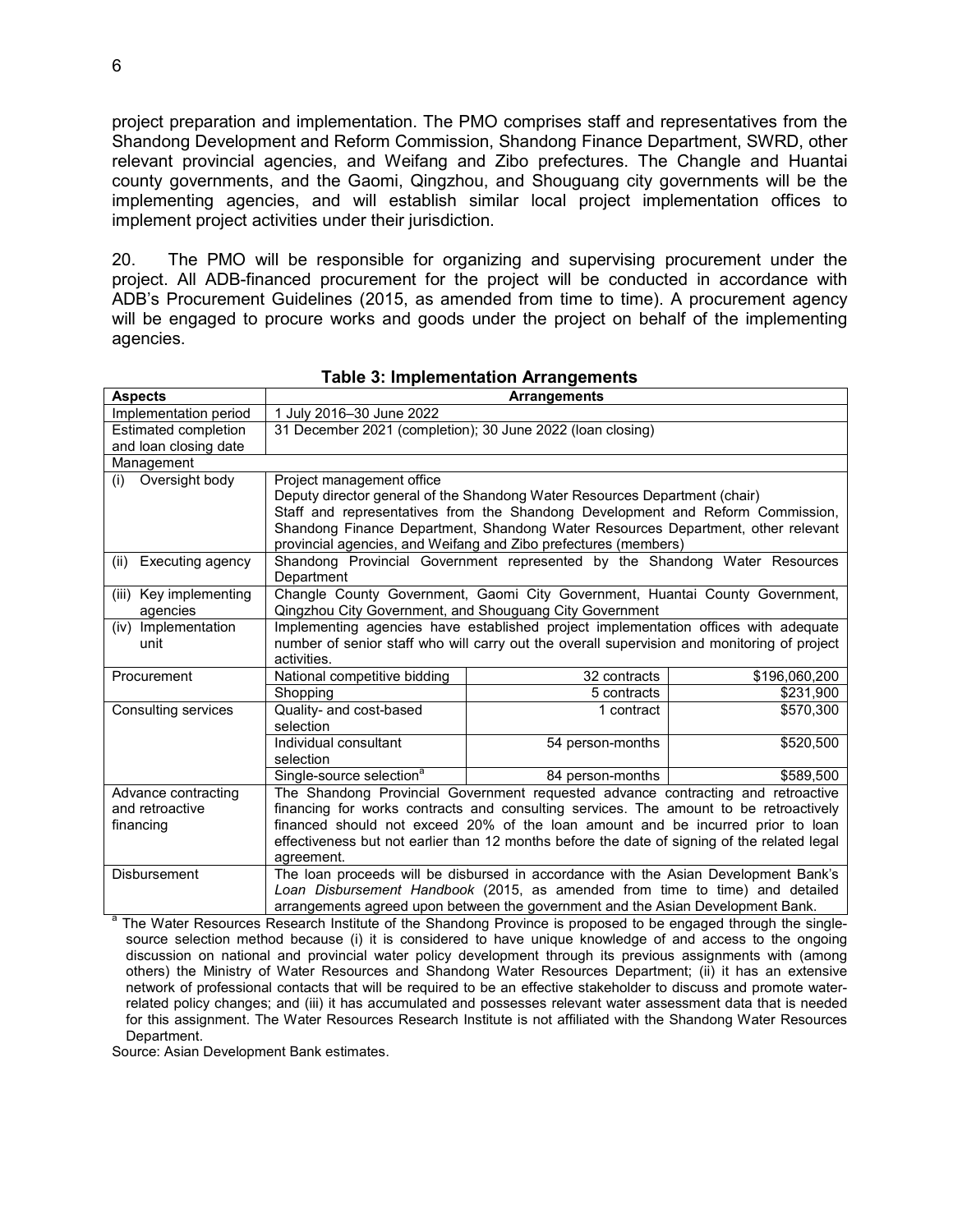project preparation and implementation. The PMO comprises staff and representatives from the Shandong Development and Reform Commission, Shandong Finance Department, SWRD, other relevant provincial agencies, and Weifang and Zibo prefectures. The Changle and Huantai county governments, and the Gaomi, Qingzhou, and Shouguang city governments will be the implementing agencies, and will establish similar local project implementation offices to implement project activities under their jurisdiction.

20. The PMO will be responsible for organizing and supervising procurement under the project. All ADB-financed procurement for the project will be conducted in accordance with ADB's Procurement Guidelines (2015, as amended from time to time). A procurement agency will be engaged to procure works and goods under the project on behalf of the implementing agencies.

| <b>Aspects</b>                                | <b>Arrangements</b>                                                                                                                                             |                                                                                                                           |               |
|-----------------------------------------------|-----------------------------------------------------------------------------------------------------------------------------------------------------------------|---------------------------------------------------------------------------------------------------------------------------|---------------|
| Implementation period                         | 1 July 2016-30 June 2022                                                                                                                                        |                                                                                                                           |               |
| Estimated completion<br>and loan closing date | 31 December 2021 (completion); 30 June 2022 (loan closing)                                                                                                      |                                                                                                                           |               |
|                                               |                                                                                                                                                                 |                                                                                                                           |               |
| Management                                    |                                                                                                                                                                 |                                                                                                                           |               |
| Oversight body<br>(i)                         | Project management office                                                                                                                                       | Deputy director general of the Shandong Water Resources Department (chair)                                                |               |
|                                               |                                                                                                                                                                 | Staff and representatives from the Shandong Development and Reform Commission,                                            |               |
|                                               |                                                                                                                                                                 | Shandong Finance Department, Shandong Water Resources Department, other relevant                                          |               |
|                                               |                                                                                                                                                                 | provincial agencies, and Weifang and Zibo prefectures (members)                                                           |               |
| Executing agency<br>(ii)                      |                                                                                                                                                                 | Shandong Provincial Government represented by the Shandong Water Resources                                                |               |
|                                               | Department                                                                                                                                                      |                                                                                                                           |               |
| (iii) Key implementing                        |                                                                                                                                                                 | Changle County Government, Gaomi City Government, Huantai County Government,                                              |               |
| agencies                                      |                                                                                                                                                                 | Qingzhou City Government, and Shouguang City Government                                                                   |               |
| (iv) Implementation                           |                                                                                                                                                                 | Implementing agencies have established project implementation offices with adequate                                       |               |
| unit                                          |                                                                                                                                                                 | number of senior staff who will carry out the overall supervision and monitoring of project                               |               |
|                                               | activities.                                                                                                                                                     |                                                                                                                           |               |
| Procurement                                   | National competitive bidding                                                                                                                                    | 32 contracts                                                                                                              | \$196,060,200 |
|                                               | Shopping                                                                                                                                                        | 5 contracts                                                                                                               | \$231,900     |
| Consulting services                           | Quality- and cost-based                                                                                                                                         | 1 contract                                                                                                                | \$570.300     |
|                                               | selection                                                                                                                                                       |                                                                                                                           |               |
|                                               | Individual consultant                                                                                                                                           | 54 person-months                                                                                                          | \$520,500     |
|                                               | selection                                                                                                                                                       |                                                                                                                           |               |
|                                               | Single-source selection <sup>a</sup>                                                                                                                            | 84 person-months                                                                                                          | \$589,500     |
| Advance contracting<br>and retroactive        | The Shandong Provincial Government requested advance contracting and retroactive                                                                                |                                                                                                                           |               |
|                                               | financing for works contracts and consulting services. The amount to be retroactively                                                                           |                                                                                                                           |               |
| financing                                     | financed should not exceed 20% of the loan amount and be incurred prior to loan                                                                                 |                                                                                                                           |               |
|                                               | effectiveness but not earlier than 12 months before the date of signing of the related legal<br>agreement.                                                      |                                                                                                                           |               |
| <b>Disbursement</b>                           | The loan proceeds will be disbursed in accordance with the Asian Development Bank's                                                                             |                                                                                                                           |               |
|                                               |                                                                                                                                                                 |                                                                                                                           |               |
|                                               | Loan Disbursement Handbook (2015, as amended from time to time) and detailed<br>arrangements agreed upon between the government and the Asian Development Bank. |                                                                                                                           |               |
|                                               |                                                                                                                                                                 | <sup>a</sup> The Weter Resources Research Institute of the Chandena Province is prepayed to be engaged through the single |               |

**Table 3: Implementation Arrangements**

 The Water Resources Research Institute of the Shandong Province is proposed to be engaged through the singlesource selection method because (i) it is considered to have unique knowledge of and access to the ongoing discussion on national and provincial water policy development through its previous assignments with (among others) the Ministry of Water Resources and Shandong Water Resources Department; (ii) it has an extensive network of professional contacts that will be required to be an effective stakeholder to discuss and promote waterrelated policy changes; and (iii) it has accumulated and possesses relevant water assessment data that is needed for this assignment. The Water Resources Research Institute is not affiliated with the Shandong Water Resources Department.

Source: Asian Development Bank estimates.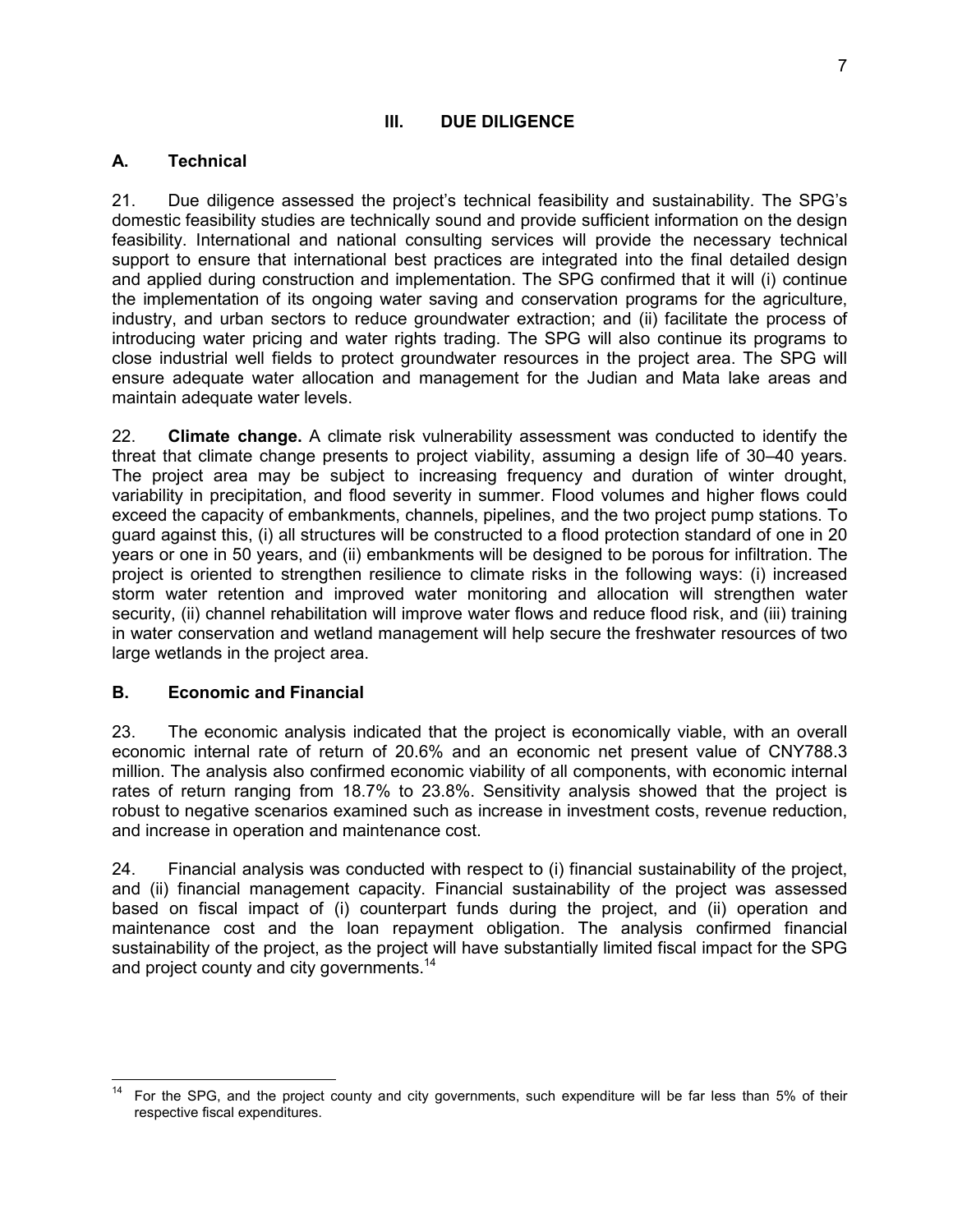#### **III. DUE DILIGENCE**

## **A. Technical**

21. Due diligence assessed the project's technical feasibility and sustainability. The SPG's domestic feasibility studies are technically sound and provide sufficient information on the design feasibility. International and national consulting services will provide the necessary technical support to ensure that international best practices are integrated into the final detailed design and applied during construction and implementation. The SPG confirmed that it will (i) continue the implementation of its ongoing water saving and conservation programs for the agriculture, industry, and urban sectors to reduce groundwater extraction; and (ii) facilitate the process of introducing water pricing and water rights trading. The SPG will also continue its programs to close industrial well fields to protect groundwater resources in the project area. The SPG will ensure adequate water allocation and management for the Judian and Mata lake areas and maintain adequate water levels.

22. **Climate change.** A climate risk vulnerability assessment was conducted to identify the threat that climate change presents to project viability, assuming a design life of 30–40 years. The project area may be subject to increasing frequency and duration of winter drought, variability in precipitation, and flood severity in summer. Flood volumes and higher flows could exceed the capacity of embankments, channels, pipelines, and the two project pump stations. To guard against this, (i) all structures will be constructed to a flood protection standard of one in 20 years or one in 50 years, and (ii) embankments will be designed to be porous for infiltration. The project is oriented to strengthen resilience to climate risks in the following ways: (i) increased storm water retention and improved water monitoring and allocation will strengthen water security, (ii) channel rehabilitation will improve water flows and reduce flood risk, and (iii) training in water conservation and wetland management will help secure the freshwater resources of two large wetlands in the project area.

#### **B. Economic and Financial**

23. The economic analysis indicated that the project is economically viable, with an overall economic internal rate of return of 20.6% and an economic net present value of CNY788.3 million. The analysis also confirmed economic viability of all components, with economic internal rates of return ranging from 18.7% to 23.8%. Sensitivity analysis showed that the project is robust to negative scenarios examined such as increase in investment costs, revenue reduction, and increase in operation and maintenance cost.

24. Financial analysis was conducted with respect to (i) financial sustainability of the project, and (ii) financial management capacity. Financial sustainability of the project was assessed based on fiscal impact of (i) counterpart funds during the project, and (ii) operation and maintenance cost and the loan repayment obligation. The analysis confirmed financial sustainability of the project, as the project will have substantially limited fiscal impact for the SPG and project county and city governments.<sup>14</sup>

 $14$ <sup>14</sup> For the SPG, and the project county and city governments, such expenditure will be far less than 5% of their respective fiscal expenditures.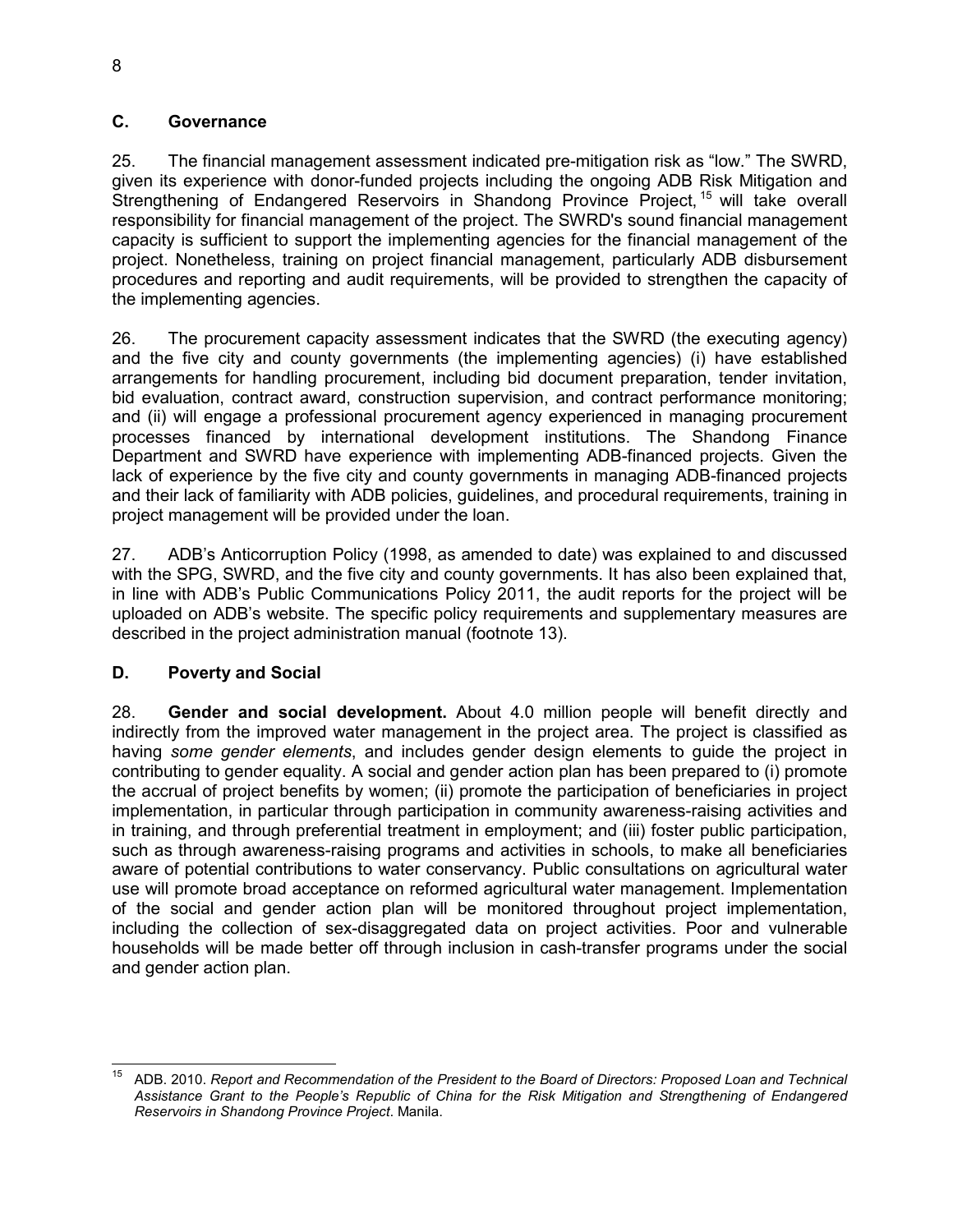# **C. Governance**

25. The financial management assessment indicated pre-mitigation risk as "low." The SWRD, given its experience with donor-funded projects including the ongoing ADB Risk Mitigation and Strengthening of Endangered Reservoirs in Shandong Province Project, <sup>15</sup> will take overall responsibility for financial management of the project. The SWRD's sound financial management capacity is sufficient to support the implementing agencies for the financial management of the project. Nonetheless, training on project financial management, particularly ADB disbursement procedures and reporting and audit requirements, will be provided to strengthen the capacity of the implementing agencies.

26. The procurement capacity assessment indicates that the SWRD (the executing agency) and the five city and county governments (the implementing agencies) (i) have established arrangements for handling procurement, including bid document preparation, tender invitation, bid evaluation, contract award, construction supervision, and contract performance monitoring; and (ii) will engage a professional procurement agency experienced in managing procurement processes financed by international development institutions. The Shandong Finance Department and SWRD have experience with implementing ADB-financed projects. Given the lack of experience by the five city and county governments in managing ADB-financed projects and their lack of familiarity with ADB policies, guidelines, and procedural requirements, training in project management will be provided under the loan.

27. ADB's Anticorruption Policy (1998, as amended to date) was explained to and discussed with the SPG, SWRD, and the five city and county governments. It has also been explained that, in line with ADB's Public Communications Policy 2011, the audit reports for the project will be uploaded on ADB's website. The specific policy requirements and supplementary measures are described in the project administration manual (footnote 13).

# **D. Poverty and Social**

28. **Gender and social development.** About 4.0 million people will benefit directly and indirectly from the improved water management in the project area. The project is classified as having *some gender elements*, and includes gender design elements to guide the project in contributing to gender equality. A social and gender action plan has been prepared to (i) promote the accrual of project benefits by women; (ii) promote the participation of beneficiaries in project implementation, in particular through participation in community awareness-raising activities and in training, and through preferential treatment in employment; and (iii) foster public participation, such as through awareness-raising programs and activities in schools, to make all beneficiaries aware of potential contributions to water conservancy. Public consultations on agricultural water use will promote broad acceptance on reformed agricultural water management. Implementation of the social and gender action plan will be monitored throughout project implementation, including the collection of sex-disaggregated data on project activities. Poor and vulnerable households will be made better off through inclusion in cash-transfer programs under the social and gender action plan.

 $\overline{1}$ <sup>15</sup> ADB. 2010. *Report and Recommendation of the President to the Board of Directors: Proposed Loan and Technical Assistance Grant to the People's Republic of China for the Risk Mitigation and Strengthening of Endangered Reservoirs in Shandong Province Project*. Manila.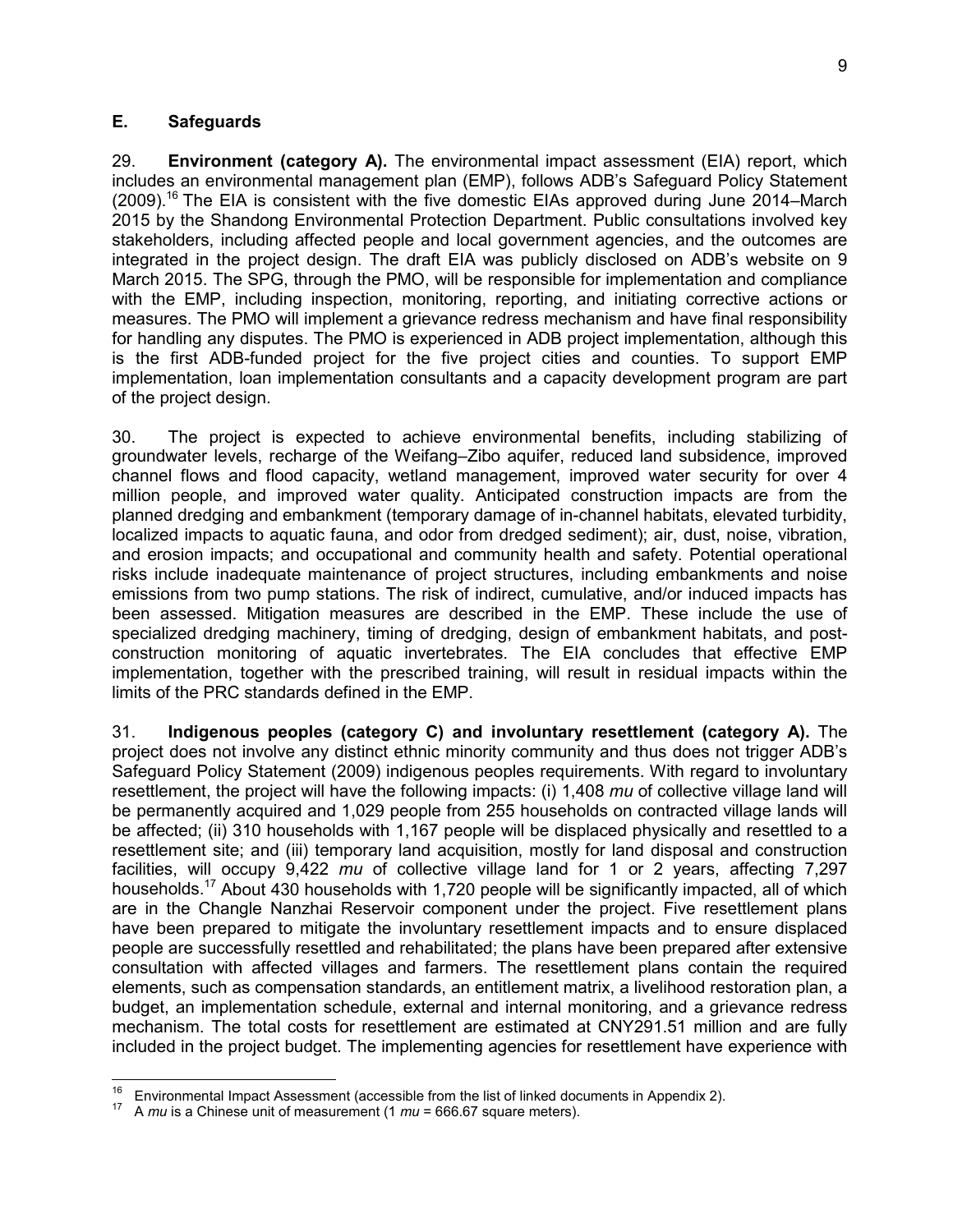#### **E. Safeguards**

29. **Environment (category A).** The environmental impact assessment (EIA) report, which includes an environmental management plan (EMP), follows ADB's Safeguard Policy Statement  $(2009)$ <sup>16</sup> The EIA is consistent with the five domestic EIAs approved during June 2014–March 2015 by the Shandong Environmental Protection Department. Public consultations involved key stakeholders, including affected people and local government agencies, and the outcomes are integrated in the project design. The draft EIA was publicly disclosed on ADB's website on 9 March 2015. The SPG, through the PMO, will be responsible for implementation and compliance with the EMP, including inspection, monitoring, reporting, and initiating corrective actions or measures. The PMO will implement a grievance redress mechanism and have final responsibility for handling any disputes. The PMO is experienced in ADB project implementation, although this is the first ADB-funded project for the five project cities and counties. To support EMP implementation, loan implementation consultants and a capacity development program are part of the project design.

30. The project is expected to achieve environmental benefits, including stabilizing of groundwater levels, recharge of the Weifang–Zibo aquifer, reduced land subsidence, improved channel flows and flood capacity, wetland management, improved water security for over 4 million people, and improved water quality. Anticipated construction impacts are from the planned dredging and embankment (temporary damage of in-channel habitats, elevated turbidity, localized impacts to aquatic fauna, and odor from dredged sediment); air, dust, noise, vibration, and erosion impacts; and occupational and community health and safety. Potential operational risks include inadequate maintenance of project structures, including embankments and noise emissions from two pump stations. The risk of indirect, cumulative, and/or induced impacts has been assessed. Mitigation measures are described in the EMP. These include the use of specialized dredging machinery, timing of dredging, design of embankment habitats, and postconstruction monitoring of aquatic invertebrates. The EIA concludes that effective EMP implementation, together with the prescribed training, will result in residual impacts within the limits of the PRC standards defined in the EMP.

31. **Indigenous peoples (category C) and involuntary resettlement (category A).** The project does not involve any distinct ethnic minority community and thus does not trigger ADB's Safeguard Policy Statement (2009) indigenous peoples requirements. With regard to involuntary resettlement, the project will have the following impacts: (i) 1,408 *mu* of collective village land will be permanently acquired and 1,029 people from 255 households on contracted village lands will be affected; (ii) 310 households with 1,167 people will be displaced physically and resettled to a resettlement site; and (iii) temporary land acquisition, mostly for land disposal and construction facilities, will occupy 9,422 *mu* of collective village land for 1 or 2 years, affecting 7,297 households.<sup>17</sup> About 430 households with 1,720 people will be significantly impacted, all of which are in the Changle Nanzhai Reservoir component under the project. Five resettlement plans have been prepared to mitigate the involuntary resettlement impacts and to ensure displaced people are successfully resettled and rehabilitated; the plans have been prepared after extensive consultation with affected villages and farmers. The resettlement plans contain the required elements, such as compensation standards, an entitlement matrix, a livelihood restoration plan, a budget, an implementation schedule, external and internal monitoring, and a grievance redress mechanism. The total costs for resettlement are estimated at CNY291.51 million and are fully included in the project budget. The implementing agencies for resettlement have experience with

<sup>16</sup> <sup>16</sup> Environmental Impact Assessment (accessible from the list of linked documents in Appendix 2).<br><sup>17</sup> A multiple Chinese unit of measurement (4 multiple CG 67 externa matera).

<sup>17</sup> A *mu* is a Chinese unit of measurement (1 *mu* = 666.67 square meters).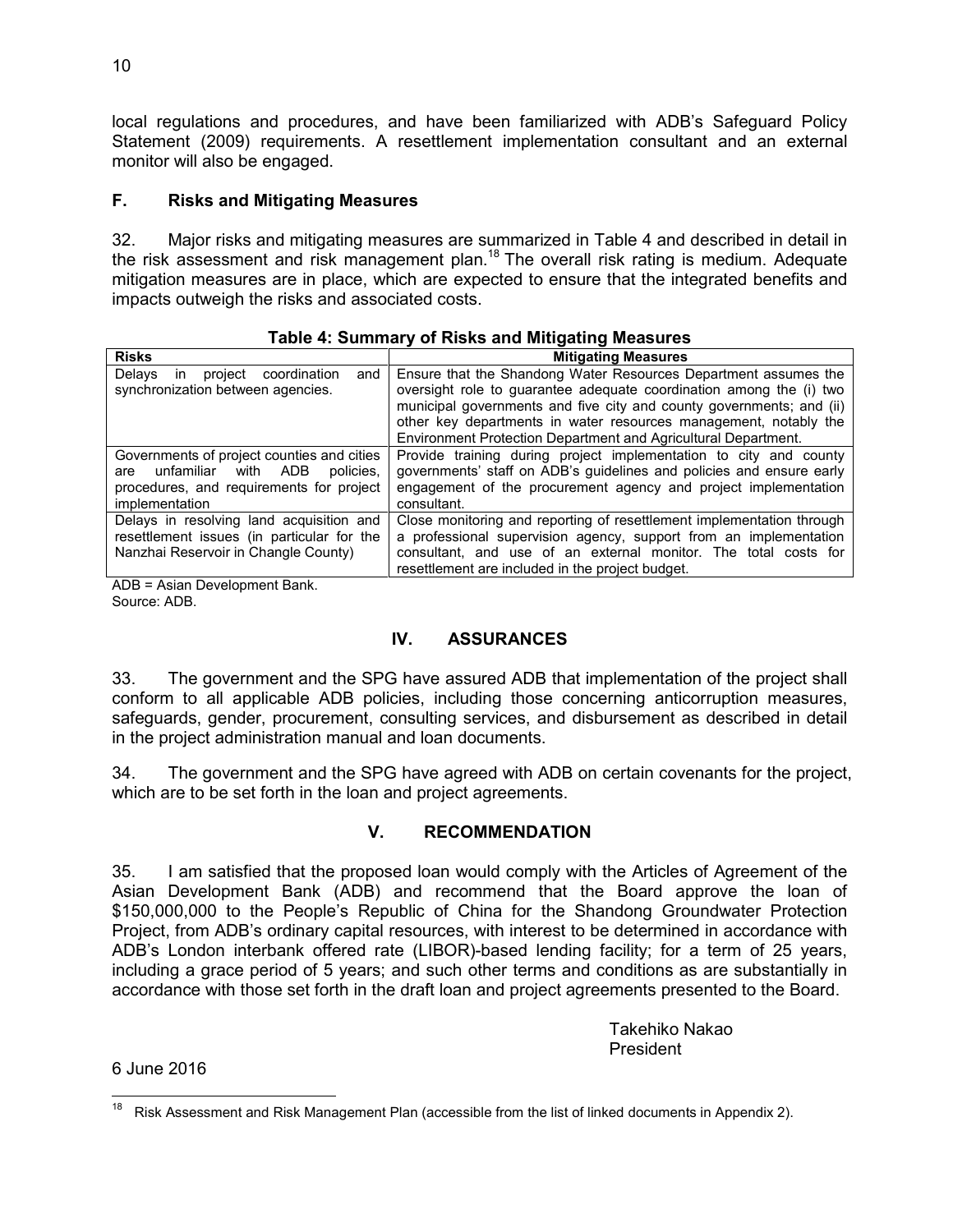local regulations and procedures, and have been familiarized with ADB's Safeguard Policy Statement (2009) requirements. A resettlement implementation consultant and an external monitor will also be engaged.

## **F. Risks and Mitigating Measures**

32. Major risks and mitigating measures are summarized in Table 4 and described in detail in the risk assessment and risk management plan.<sup>18</sup> The overall risk rating is medium. Adequate mitigation measures are in place, which are expected to ensure that the integrated benefits and impacts outweigh the risks and associated costs.

| <b>Risks</b>                                                                                                                                              | <b>Mitigating Measures</b>                                                                                                                                                                                                                                                                                                                           |
|-----------------------------------------------------------------------------------------------------------------------------------------------------------|------------------------------------------------------------------------------------------------------------------------------------------------------------------------------------------------------------------------------------------------------------------------------------------------------------------------------------------------------|
| Delays<br>coordination<br>and<br>project<br>ın<br>synchronization between agencies.                                                                       | Ensure that the Shandong Water Resources Department assumes the<br>oversight role to quarantee adequate coordination among the (i) two<br>municipal governments and five city and county governments; and (ii)<br>other key departments in water resources management, notably the<br>Environment Protection Department and Agricultural Department. |
| Governments of project counties and cities<br>unfamiliar<br>with<br>ADB<br>policies.<br>are<br>procedures, and requirements for project<br>implementation | Provide training during project implementation to city and county<br>governments' staff on ADB's guidelines and policies and ensure early<br>engagement of the procurement agency and project implementation<br>consultant.                                                                                                                          |
| Delays in resolving land acquisition and<br>resettlement issues (in particular for the<br>Nanzhai Reservoir in Changle County)                            | Close monitoring and reporting of resettlement implementation through<br>a professional supervision agency, support from an implementation<br>consultant, and use of an external monitor. The total costs for<br>resettlement are included in the project budget.                                                                                    |

| Table 4: Summary of Risks and Mitigating Measures |  |  |  |
|---------------------------------------------------|--|--|--|
|---------------------------------------------------|--|--|--|

ADB = Asian Development Bank. Source: ADB.

#### **IV. ASSURANCES**

33. The government and the SPG have assured ADB that implementation of the project shall conform to all applicable ADB policies, including those concerning anticorruption measures, safeguards, gender, procurement, consulting services, and disbursement as described in detail in the project administration manual and loan documents.

34. The government and the SPG have agreed with ADB on certain covenants for the project, which are to be set forth in the loan and project agreements.

# **V. RECOMMENDATION**

35. I am satisfied that the proposed loan would comply with the Articles of Agreement of the Asian Development Bank (ADB) and recommend that the Board approve the loan of \$150,000,000 to the People's Republic of China for the Shandong Groundwater Protection Project, from ADB's ordinary capital resources, with interest to be determined in accordance with ADB's London interbank offered rate (LIBOR)-based lending facility; for a term of 25 years, including a grace period of 5 years; and such other terms and conditions as are substantially in accordance with those set forth in the draft loan and project agreements presented to the Board.

> Takehiko Nakao President

6 June 2016

 Risk Assessment and Risk Management Plan (accessible from the list of linked documents in Appendix 2).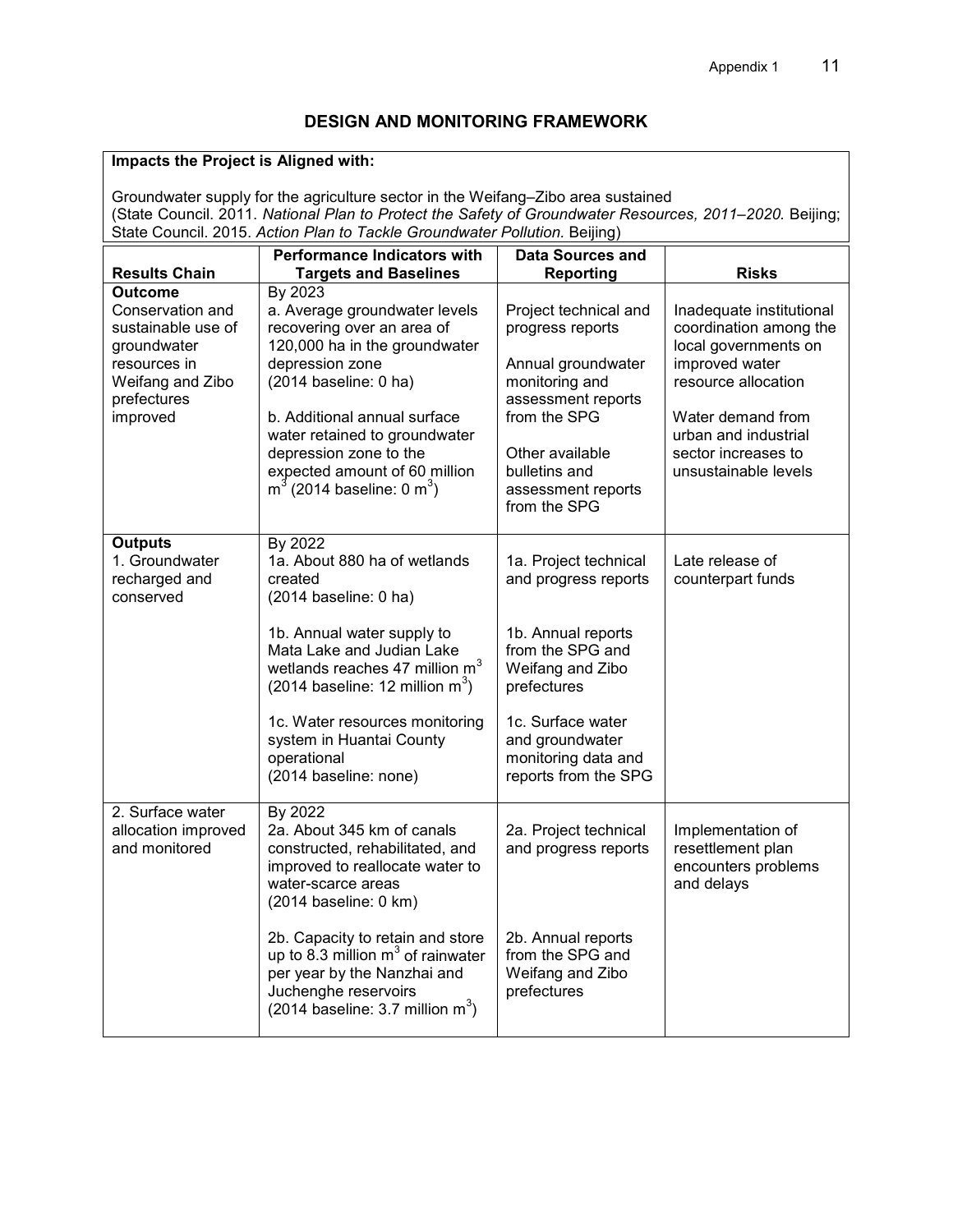# **DESIGN AND MONITORING FRAMEWORK**

# **Impacts the Project is Aligned with:**

Groundwater supply for the agriculture sector in the Weifang–Zibo area sustained (State Council. 2011. *National Plan to Protect the Safety of Groundwater Resources, 2011–2020.* Beijing; State Council. 2015. *Action Plan to Tackle Groundwater Pollution.* Beijing)

|                                                                                                                                        | <b>Performance Indicators with</b>                                                                                                                                                                                                                                                                                                                  | <b>Data Sources and</b>                                                                                                                                                                                           |                                                                                                                                                                                                                 |
|----------------------------------------------------------------------------------------------------------------------------------------|-----------------------------------------------------------------------------------------------------------------------------------------------------------------------------------------------------------------------------------------------------------------------------------------------------------------------------------------------------|-------------------------------------------------------------------------------------------------------------------------------------------------------------------------------------------------------------------|-----------------------------------------------------------------------------------------------------------------------------------------------------------------------------------------------------------------|
| <b>Results Chain</b>                                                                                                                   | <b>Targets and Baselines</b>                                                                                                                                                                                                                                                                                                                        | <b>Reporting</b>                                                                                                                                                                                                  | <b>Risks</b>                                                                                                                                                                                                    |
| <b>Outcome</b><br>Conservation and<br>sustainable use of<br>groundwater<br>resources in<br>Weifang and Zibo<br>prefectures<br>improved | By 2023<br>a. Average groundwater levels<br>recovering over an area of<br>120,000 ha in the groundwater<br>depression zone<br>(2014 baseline: 0 ha)<br>b. Additional annual surface<br>water retained to groundwater<br>depression zone to the<br>expected amount of 60 million<br>$m^3$ (2014 baseline: 0 $m^3$ )                                  | Project technical and<br>progress reports<br>Annual groundwater<br>monitoring and<br>assessment reports<br>from the SPG<br>Other available<br>bulletins and<br>assessment reports<br>from the SPG                 | Inadequate institutional<br>coordination among the<br>local governments on<br>improved water<br>resource allocation<br>Water demand from<br>urban and industrial<br>sector increases to<br>unsustainable levels |
| <b>Outputs</b><br>1. Groundwater<br>recharged and<br>conserved                                                                         | By 2022<br>1a. About 880 ha of wetlands<br>created<br>$(2014 \text{ baseline: } 0 \text{ ha})$<br>1b. Annual water supply to<br>Mata Lake and Judian Lake<br>wetlands reaches 47 million m <sup>3</sup><br>(2014 baseline: 12 million $m^3$ )<br>1c. Water resources monitoring<br>system in Huantai County<br>operational<br>(2014 baseline: none) | 1a. Project technical<br>and progress reports<br>1b. Annual reports<br>from the SPG and<br>Weifang and Zibo<br>prefectures<br>1c. Surface water<br>and groundwater<br>monitoring data and<br>reports from the SPG | Late release of<br>counterpart funds                                                                                                                                                                            |
| 2. Surface water<br>allocation improved<br>and monitored                                                                               | By 2022<br>2a. About 345 km of canals<br>constructed, rehabilitated, and<br>improved to reallocate water to<br>water-scarce areas<br>(2014 baseline: 0 km)<br>2b. Capacity to retain and store<br>up to 8.3 million $m3$ of rainwater<br>per year by the Nanzhai and<br>Juchenghe reservoirs<br>$(2014 \text{ baseline: } 3.7 \text{ million m}^3)$ | 2a. Project technical<br>and progress reports<br>2b. Annual reports<br>from the SPG and<br>Weifang and Zibo<br>prefectures                                                                                        | Implementation of<br>resettlement plan<br>encounters problems<br>and delays                                                                                                                                     |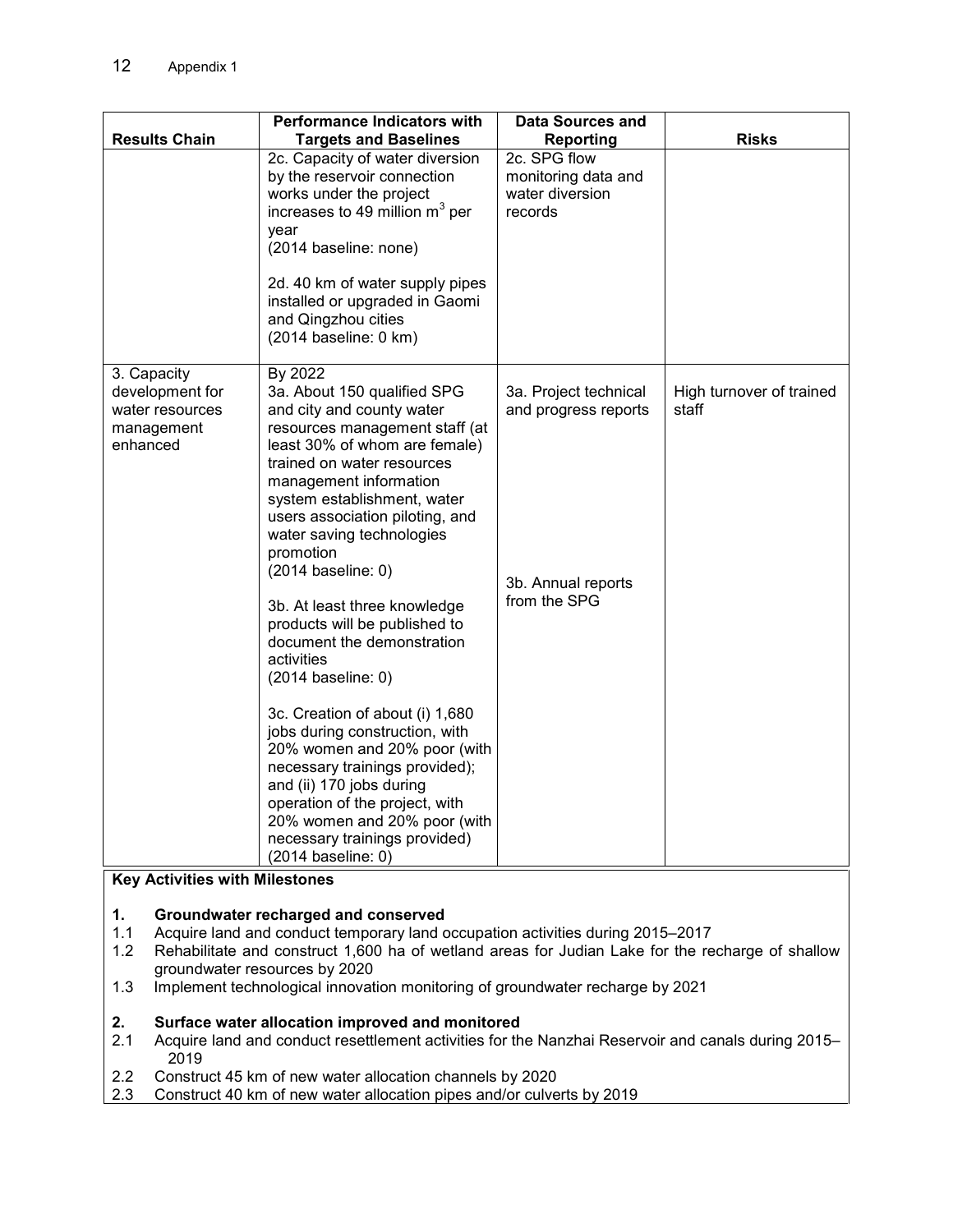| <b>Results Chain</b>                                                        | <b>Performance Indicators with</b><br><b>Targets and Baselines</b>                                                                                                                                                                                                                                                                                                                                                                                                                                                                                                                                                                                                                                                                                              | <b>Data Sources and</b><br><b>Reporting</b>                                         | <b>Risks</b>                      |
|-----------------------------------------------------------------------------|-----------------------------------------------------------------------------------------------------------------------------------------------------------------------------------------------------------------------------------------------------------------------------------------------------------------------------------------------------------------------------------------------------------------------------------------------------------------------------------------------------------------------------------------------------------------------------------------------------------------------------------------------------------------------------------------------------------------------------------------------------------------|-------------------------------------------------------------------------------------|-----------------------------------|
|                                                                             | 2c. Capacity of water diversion<br>by the reservoir connection<br>works under the project<br>increases to 49 million $m^3$ per<br>year<br>(2014 baseline: none)<br>2d. 40 km of water supply pipes<br>installed or upgraded in Gaomi<br>and Qingzhou cities<br>(2014 baseline: 0 km)                                                                                                                                                                                                                                                                                                                                                                                                                                                                            | 2c. SPG flow<br>monitoring data and<br>water diversion<br>records                   |                                   |
| 3. Capacity<br>development for<br>water resources<br>management<br>enhanced | By 2022<br>3a. About 150 qualified SPG<br>and city and county water<br>resources management staff (at<br>least 30% of whom are female)<br>trained on water resources<br>management information<br>system establishment, water<br>users association piloting, and<br>water saving technologies<br>promotion<br>(2014 baseline: 0)<br>3b. At least three knowledge<br>products will be published to<br>document the demonstration<br>activities<br>(2014 baseline: 0)<br>3c. Creation of about (i) 1,680<br>jobs during construction, with<br>20% women and 20% poor (with<br>necessary trainings provided);<br>and (ii) 170 jobs during<br>operation of the project, with<br>20% women and 20% poor (with<br>necessary trainings provided)<br>(2014 baseline: 0) | 3a. Project technical<br>and progress reports<br>3b. Annual reports<br>from the SPG | High turnover of trained<br>staff |

#### **Key Activities with Milestones**

#### **1. Groundwater recharged and conserved**

- 1.1 Acquire land and conduct temporary land occupation activities during 2015–2017<br>1.2 Rehabilitate and construct 1,600 ha of wetland areas for Judian Lake for the re
- Rehabilitate and construct 1,600 ha of wetland areas for Judian Lake for the recharge of shallow groundwater resources by 2020
- 1.3 Implement technological innovation monitoring of groundwater recharge by 2021

#### **2. Surface water allocation improved and monitored**

- 2.1 Acquire land and conduct resettlement activities for the Nanzhai Reservoir and canals during 2015– 2019
- 2.2 Construct 45 km of new water allocation channels by 2020<br>2.3 Construct 40 km of new water allocation pipes and/or culve
- 2.3 Construct 40 km of new water allocation pipes and/or culverts by 2019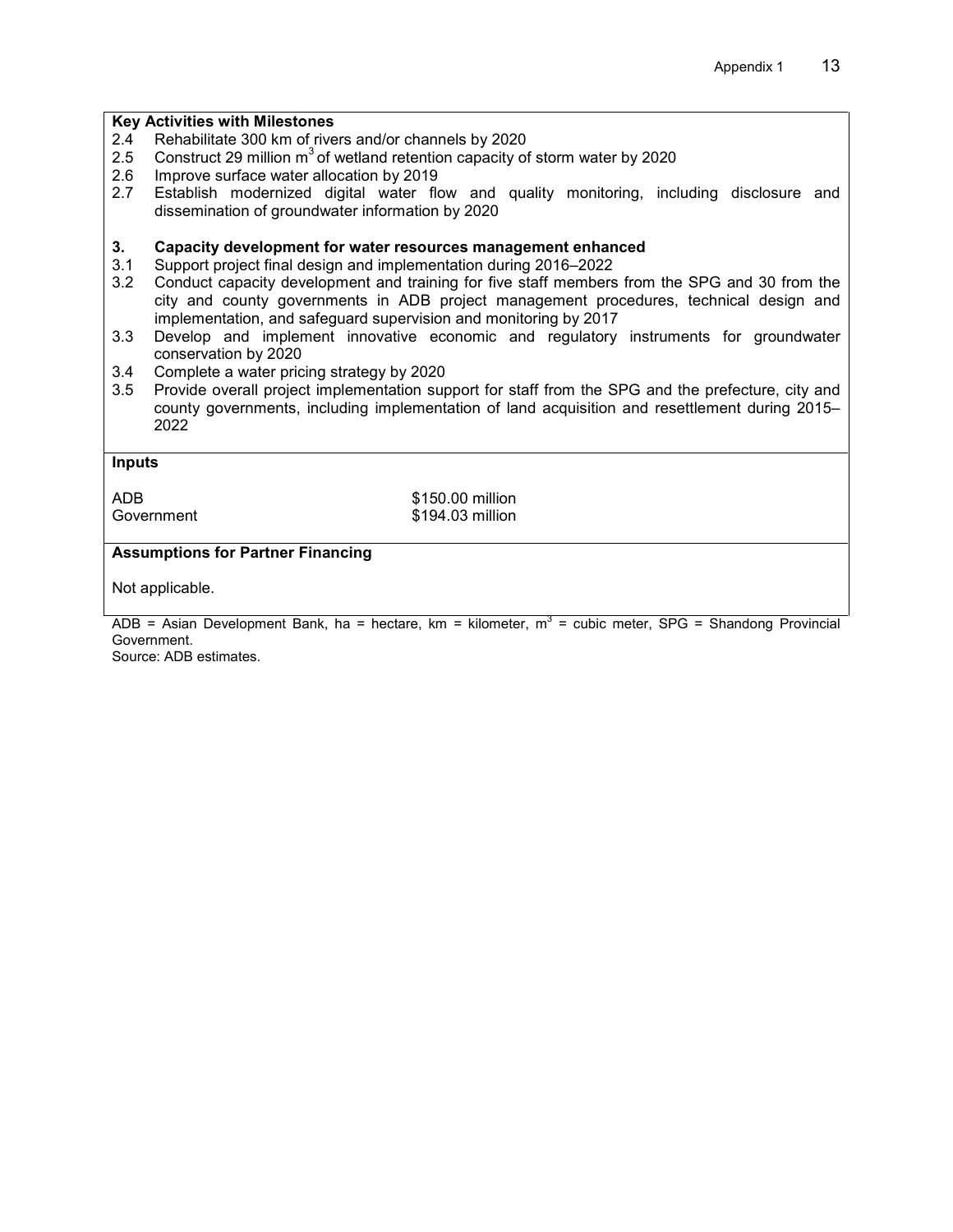| <b>Key Activities with Milestones</b>                                                                                          |                                                                                                                                                                                                                                                             |
|--------------------------------------------------------------------------------------------------------------------------------|-------------------------------------------------------------------------------------------------------------------------------------------------------------------------------------------------------------------------------------------------------------|
| 2.4                                                                                                                            | Rehabilitate 300 km of rivers and/or channels by 2020                                                                                                                                                                                                       |
| 2.5                                                                                                                            | Construct 29 million $m^3$ of wetland retention capacity of storm water by 2020                                                                                                                                                                             |
| 2.6                                                                                                                            | Improve surface water allocation by 2019                                                                                                                                                                                                                    |
| 2.7                                                                                                                            | Establish modernized digital water flow and quality monitoring, including disclosure and<br>dissemination of groundwater information by 2020                                                                                                                |
| 3.                                                                                                                             | Capacity development for water resources management enhanced                                                                                                                                                                                                |
| 3.1                                                                                                                            | Support project final design and implementation during 2016-2022                                                                                                                                                                                            |
| 3.2                                                                                                                            | Conduct capacity development and training for five staff members from the SPG and 30 from the<br>city and county governments in ADB project management procedures, technical design and<br>implementation, and safeguard supervision and monitoring by 2017 |
| 3.3                                                                                                                            | Develop and implement innovative economic and regulatory instruments for groundwater<br>conservation by 2020                                                                                                                                                |
| 3.4                                                                                                                            | Complete a water pricing strategy by 2020                                                                                                                                                                                                                   |
| 3.5                                                                                                                            | Provide overall project implementation support for staff from the SPG and the prefecture, city and<br>county governments, including implementation of land acquisition and resettlement during 2015-<br>2022                                                |
| <b>Inputs</b>                                                                                                                  |                                                                                                                                                                                                                                                             |
| <b>ADB</b>                                                                                                                     | \$150.00 million                                                                                                                                                                                                                                            |
|                                                                                                                                | \$194.03 million<br>Government                                                                                                                                                                                                                              |
| <b>Assumptions for Partner Financing</b>                                                                                       |                                                                                                                                                                                                                                                             |
| Not applicable.                                                                                                                |                                                                                                                                                                                                                                                             |
| $\triangle$ DR = Asian Development Bank, ba = bectare, km = kilometer, m <sup>3</sup> = cubic meter, SDC = Shandong Provincial |                                                                                                                                                                                                                                                             |

ADB = Asian Development Bank, ha = hectare, km = kilometer,  $m^3$  = cubic meter, SPG = Shandong Provincial Government.

Source: ADB estimates.